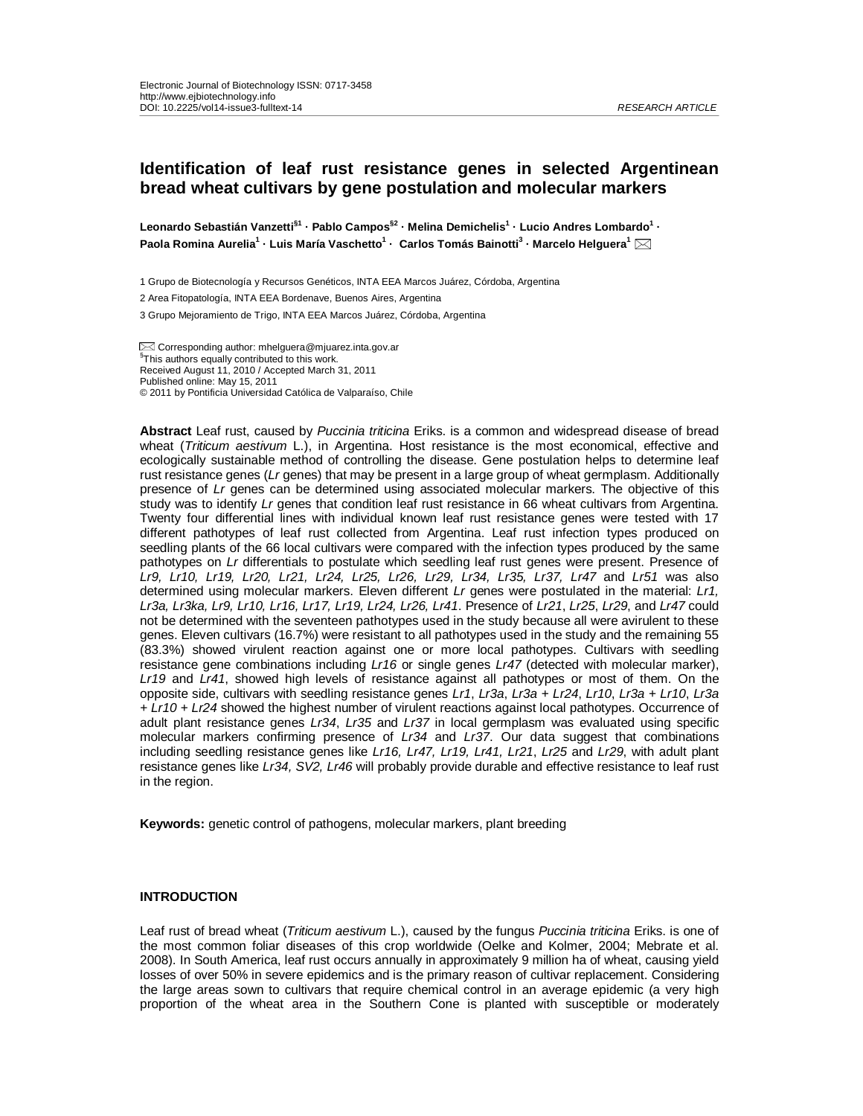**Leonardo Sebastián Vanzetti§1 · Pablo Campos§2 · Melina Demichelis1 · Lucio Andres Lombardo1 · Paola Romina Aurelia1 · Luis María Vaschetto1 · Carlos Tomás Bainotti3 · Marcelo Helguera1**

1 Grupo de Biotecnología y Recursos Genéticos, INTA EEA Marcos Juárez, Córdoba, Argentina

2 Area Fitopatología, INTA EEA Bordenave, Buenos Aires, Argentina

Corresponding author: mhelguera@mjuarez.inta.gov.ar § <sup>§</sup>This authors equally contributed to this work. Received August 11, 2010 / Accepted March 31, 2011 Published online: May 15, 2011 © 2011 by Pontificia Universidad Católica de Valparaíso, Chile

**Abstract** Leaf rust, caused by *Puccinia triticina* Eriks. is a common and widespread disease of bread wheat (*Triticum aestivum* L.), in Argentina. Host resistance is the most economical, effective and ecologically sustainable method of controlling the disease. Gene postulation helps to determine leaf rust resistance genes (*Lr* genes) that may be present in a large group of wheat germplasm. Additionally presence of *Lr* genes can be determined using associated molecular markers. The objective of this study was to identify *Lr* genes that condition leaf rust resistance in 66 wheat cultivars from Argentina. Twenty four differential lines with individual known leaf rust resistance genes were tested with 17 different pathotypes of leaf rust collected from Argentina. Leaf rust infection types produced on seedling plants of the 66 local cultivars were compared with the infection types produced by the same pathotypes on *Lr* differentials to postulate which seedling leaf rust genes were present. Presence of *Lr9, Lr10, Lr19, Lr20, Lr21, Lr24, Lr25, Lr26, Lr29, Lr34, Lr35, Lr37, Lr47* and *Lr51* was also determined using molecular markers. Eleven different *Lr* genes were postulated in the material: *Lr1, Lr3a, Lr3ka, Lr9, Lr10, Lr16, Lr17, Lr19, Lr24, Lr26, Lr41*. Presence of *Lr21*, *Lr25*, *Lr29*, and *Lr47* could not be determined with the seventeen pathotypes used in the study because all were avirulent to these genes. Eleven cultivars (16.7%) were resistant to all pathotypes used in the study and the remaining 55 (83.3%) showed virulent reaction against one or more local pathotypes. Cultivars with seedling resistance gene combinations including *Lr16* or single genes *Lr47* (detected with molecular marker), *Lr19* and *Lr41*, showed high levels of resistance against all pathotypes or most of them. On the opposite side, cultivars with seedling resistance genes *Lr1*, *Lr3a*, *Lr3a + Lr24*, *Lr10*, *Lr3a + Lr10*, *Lr3a + Lr10 + Lr24* showed the highest number of virulent reactions against local pathotypes. Occurrence of adult plant resistance genes *Lr34*, *Lr35* and *Lr37* in local germplasm was evaluated using specific molecular markers confirming presence of *Lr34* and *Lr37*. Our data suggest that combinations including seedling resistance genes like *Lr16, Lr47, Lr19, Lr41, Lr21*, *Lr25* and *Lr29*, with adult plant resistance genes like *Lr34, SV2, Lr46* will probably provide durable and effective resistance to leaf rust in the region.

**Keywords:** genetic control of pathogens, molecular markers, plant breeding

#### **INTRODUCTION**

Leaf rust of bread wheat (*Triticum aestivum* L.), caused by the fungus *Puccinia triticina* Eriks. is one of the most common foliar diseases of this crop worldwide (Oelke and Kolmer, 2004; Mebrate et al. 2008). In South America, leaf rust occurs annually in approximately 9 million ha of wheat, causing yield losses of over 50% in severe epidemics and is the primary reason of cultivar replacement. Considering the large areas sown to cultivars that require chemical control in an average epidemic (a very high proportion of the wheat area in the Southern Cone is planted with susceptible or moderately

<sup>3</sup> Grupo Mejoramiento de Trigo, INTA EEA Marcos Juárez, Córdoba, Argentina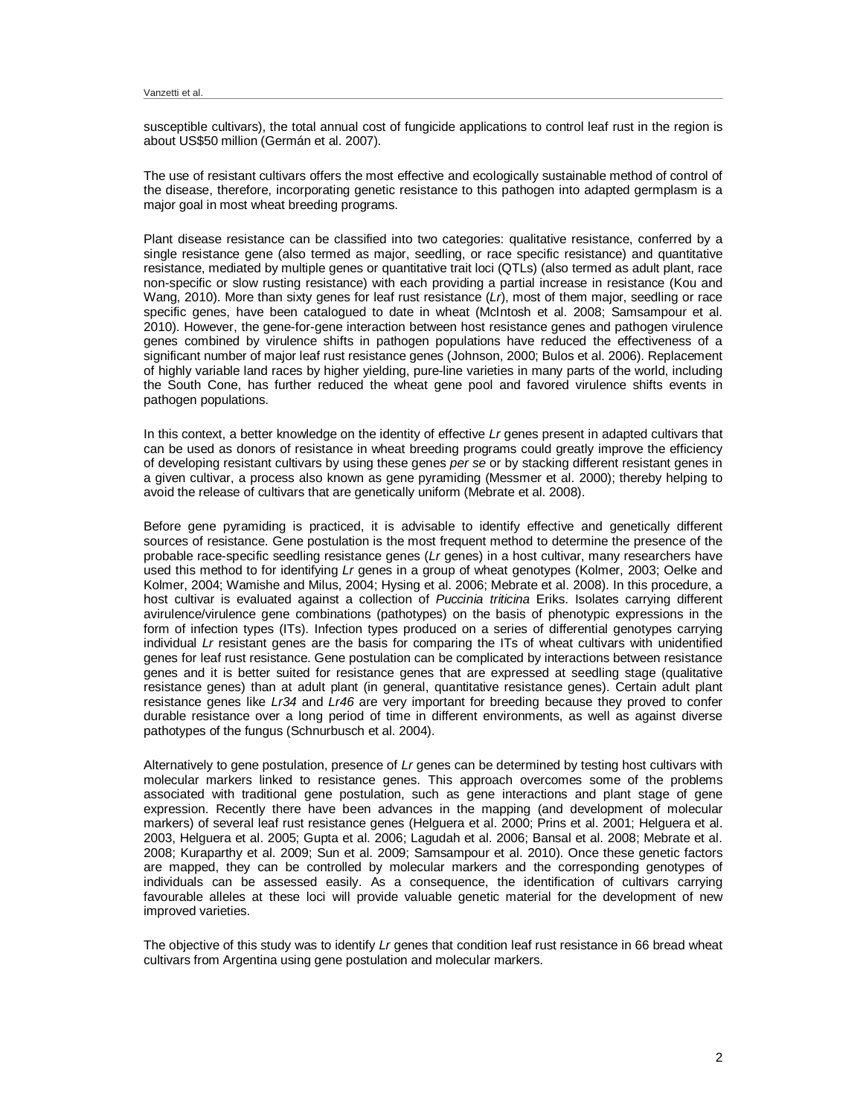susceptible cultivars), the total annual cost of fungicide applications to control leaf rust in the region is about US\$50 million (Germán et al. 2007).

The use of resistant cultivars offers the most effective and ecologically sustainable method of control of the disease, therefore, incorporating genetic resistance to this pathogen into adapted germplasm is a major goal in most wheat breeding programs.

Plant disease resistance can be classified into two categories: qualitative resistance, conferred by a single resistance gene (also termed as major, seedling, or race specific resistance) and quantitative resistance, mediated by multiple genes or quantitative trait loci (QTLs) (also termed as adult plant, race non-specific or slow rusting resistance) with each providing a partial increase in resistance (Kou and Wang, 2010). More than sixty genes for leaf rust resistance (*Lr*), most of them major, seedling or race specific genes, have been catalogued to date in wheat (McIntosh et al. 2008; Samsampour et al. 2010). However, the gene-for-gene interaction between host resistance genes and pathogen virulence genes combined by virulence shifts in pathogen populations have reduced the effectiveness of a significant number of major leaf rust resistance genes (Johnson, 2000; Bulos et al. 2006). Replacement of highly variable land races by higher yielding, pure-line varieties in many parts of the world, including the South Cone, has further reduced the wheat gene pool and favored virulence shifts events in pathogen populations.

In this context, a better knowledge on the identity of effective *Lr* genes present in adapted cultivars that can be used as donors of resistance in wheat breeding programs could greatly improve the efficiency of developing resistant cultivars by using these genes *per se* or by stacking different resistant genes in a given cultivar, a process also known as gene pyramiding (Messmer et al. 2000); thereby helping to avoid the release of cultivars that are genetically uniform (Mebrate et al. 2008).

Before gene pyramiding is practiced, it is advisable to identify effective and genetically different sources of resistance. Gene postulation is the most frequent method to determine the presence of the probable race-specific seedling resistance genes (*Lr* genes) in a host cultivar, many researchers have used this method to for identifying *Lr* genes in a group of wheat genotypes (Kolmer, 2003; Oelke and Kolmer, 2004; Wamishe and Milus, 2004; Hysing et al. 2006; Mebrate et al. 2008). In this procedure, a host cultivar is evaluated against a collection of *Puccinia triticina* Eriks. Isolates carrying different avirulence/virulence gene combinations (pathotypes) on the basis of phenotypic expressions in the form of infection types (ITs). Infection types produced on a series of differential genotypes carrying individual *Lr* resistant genes are the basis for comparing the ITs of wheat cultivars with unidentified genes for leaf rust resistance. Gene postulation can be complicated by interactions between resistance genes and it is better suited for resistance genes that are expressed at seedling stage (qualitative resistance genes) than at adult plant (in general, quantitative resistance genes). Certain adult plant resistance genes like *Lr34* and *Lr46* are very important for breeding because they proved to confer durable resistance over a long period of time in different environments, as well as against diverse pathotypes of the fungus (Schnurbusch et al. 2004).

Alternatively to gene postulation, presence of *Lr* genes can be determined by testing host cultivars with molecular markers linked to resistance genes. This approach overcomes some of the problems associated with traditional gene postulation, such as gene interactions and plant stage of gene expression. Recently there have been advances in the mapping (and development of molecular markers) of several leaf rust resistance genes (Helguera et al. 2000; Prins et al. 2001; Helguera et al. 2003, Helguera et al. 2005; Gupta et al. 2006; Lagudah et al. 2006; Bansal et al. 2008; Mebrate et al. 2008; Kuraparthy et al. 2009; Sun et al. 2009; Samsampour et al. 2010). Once these genetic factors are mapped, they can be controlled by molecular markers and the corresponding genotypes of individuals can be assessed easily. As a consequence, the identification of cultivars carrying favourable alleles at these loci will provide valuable genetic material for the development of new improved varieties.

The objective of this study was to identify *Lr* genes that condition leaf rust resistance in 66 bread wheat cultivars from Argentina using gene postulation and molecular markers.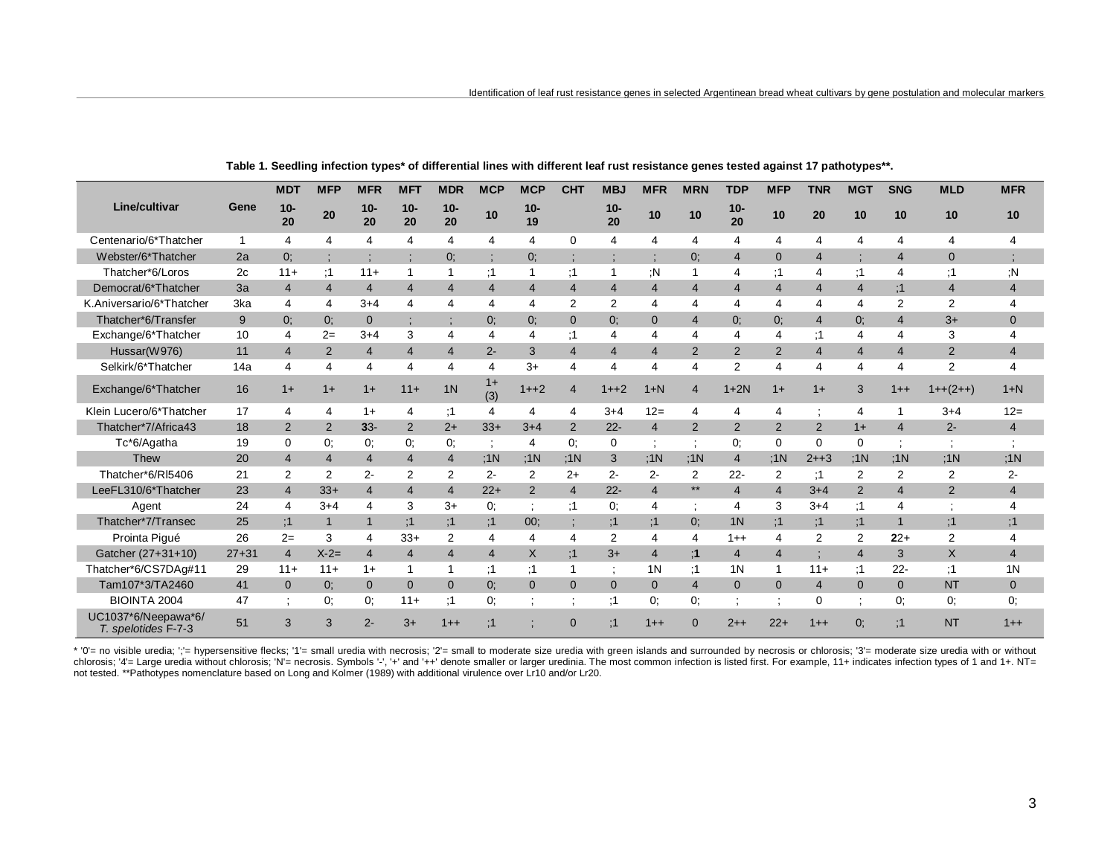|                                            |           | <b>MDT</b>              | <b>MFP</b>            | <b>MFR</b>     | <b>MFT</b>                    | <b>MDR</b>               | <b>MCP</b>              | <b>MCP</b>               | <b>CHT</b>     | <b>MBJ</b>            | <b>MFR</b>            | <b>MRN</b>     | <b>TDP</b>     | <b>MFP</b>               | <b>TNR</b>     | <b>MGT</b>              | <b>SNG</b>     | <b>MLD</b>     | <b>MFR</b>            |
|--------------------------------------------|-----------|-------------------------|-----------------------|----------------|-------------------------------|--------------------------|-------------------------|--------------------------|----------------|-----------------------|-----------------------|----------------|----------------|--------------------------|----------------|-------------------------|----------------|----------------|-----------------------|
| Line/cultivar                              | Gene      | $10-$<br>20             | 20                    | $10-$<br>20    | $10-$<br>20                   | $10-$<br>20              | 10                      | $10 -$<br>19             |                | $10-$<br>20           | 10                    | 10             | $10 -$<br>20   | 10                       | 20             | 10                      | 10             | 10             | 10                    |
| Centenario/6*Thatcher                      |           | 4                       | $\boldsymbol{\Delta}$ | 4              | 4                             | 4                        | 4                       | $\overline{4}$           | $\mathbf 0$    | $\boldsymbol{\Delta}$ |                       | 4              | 4              | $\overline{4}$           | 4              | 4                       | 4              | 4              | $\boldsymbol{\Delta}$ |
| Webster/6*Thatcher                         | 2a        | 0;                      |                       |                | ٠<br>$\overline{\phantom{a}}$ | 0;                       | $\cdot$                 | 0;                       |                |                       |                       | 0:             | $\overline{4}$ | $\mathbf{0}$             | $\overline{4}$ |                         | $\overline{4}$ | $\mathbf{0}$   |                       |
| Thatcher*6/Loros                           | 2c        | $11 +$                  | :1                    | $11+$          |                               | 1                        | :1                      |                          | :1             |                       | :N                    |                | 4              | :1                       | $\overline{4}$ | :1                      | $\overline{4}$ | :1             | :N                    |
| Democrat/6*Thatcher                        | 3a        | $\overline{4}$          | $\overline{4}$        | $\overline{4}$ | $\overline{4}$                | $\overline{\mathcal{A}}$ | $\overline{4}$          | $\overline{4}$           | $\overline{4}$ | $\overline{4}$        | $\overline{4}$        | 4              | 4              | $\overline{4}$           | 4              | $\overline{4}$          | :1             | $\overline{4}$ | $\overline{4}$        |
| K.Aniversario/6*Thatcher                   | 3ka       | 4                       | $\boldsymbol{\Delta}$ | $3 + 4$        | 4                             | 4                        | 4                       | $\boldsymbol{\varDelta}$ | 2              | 2                     | 4                     | 4              | 4              | $\overline{\mathcal{L}}$ | 4              | 4                       | $\overline{2}$ | 2              | $\overline{4}$        |
| Thatcher*6/Transfer                        | 9         | 0:                      | 0:                    | $\mathbf{0}$   | ٠                             |                          | 0:                      | 0:                       | $\Omega$       | 0:                    | $\Omega$              | $\overline{4}$ | 0:             | 0:                       | $\overline{4}$ | 0:                      | $\overline{4}$ | $3+$           | $\Omega$              |
| Exchange/6*Thatcher                        | 10        | 4                       | $2=$                  | $3+4$          | 3                             | 4                        | 4                       | 4                        | :1             | $\boldsymbol{\Delta}$ | 4                     | 4              | 4              | 4                        | :1             | 4                       | 4              | 3              | $\overline{4}$        |
| Hussar(W976)                               | 11        | $\overline{4}$          | 2                     | 4              | $\overline{4}$                | $\overline{4}$           | $2 -$                   | 3                        | $\overline{4}$ | $\overline{4}$        | $\overline{4}$        | $\overline{2}$ | 2              | 2                        | $\overline{4}$ | $\overline{4}$          | $\overline{4}$ | $\overline{2}$ | $\overline{4}$        |
| Selkirk/6*Thatcher                         | 14a       | $\overline{\mathbf{4}}$ | $\overline{A}$        | 4              | $\overline{4}$                | 4                        | $\overline{\mathbf{4}}$ | $3+$                     | $\overline{4}$ | $\overline{4}$        | $\boldsymbol{\Delta}$ | 4              | 2              | $\overline{4}$           | 4              | $\overline{\mathbf{A}}$ | 4              | $\overline{2}$ | $\overline{A}$        |
| Exchange/6*Thatcher                        | 16        | $1+$                    | $1+$                  | $1+$           | $11 +$                        | 1 <sub>N</sub>           | $1+$<br>(3)             | $1 + 2$                  | $\overline{4}$ | $1 + 2$               | $1+N$                 | $\overline{4}$ | $1+2N$         | $1+$                     | $1+$           | 3                       | $1++$          | $1++(2++)$     | $1+N$                 |
| Klein Lucero/6*Thatcher                    | 17        | $\overline{4}$          | $\overline{4}$        | $1+$           | 4                             | :1                       | 4                       | 4                        | 4              | $3 + 4$               | $12 =$                | 4              | 4              | 4                        |                | 4                       |                | $3 + 4$        | $12=$                 |
| Thatcher*7/Africa43                        | 18        | 2                       | 2                     | $33 -$         | 2                             | $2+$                     | $33+$                   | $3+4$                    | 2              | $22 -$                | $\overline{4}$        | $\overline{2}$ | 2              | 2                        | 2              | $1+$                    | $\overline{4}$ | $2 -$          | $\overline{4}$        |
| Tc*6/Agatha                                | 19        | $\Omega$                | 0:                    | 0:             | 0:                            | 0.                       | $\ddot{\cdot}$          | 4                        | 0:             | $\mathbf 0$           |                       |                | 0;             | $\Omega$                 | $\Omega$       | 0                       | $\cdot$        |                |                       |
| Thew                                       | 20        | $\overline{4}$          | $\overline{4}$        | $\overline{4}$ | $\overline{4}$                | $\overline{4}$           | :1N                     | :1N                      | :1N            | 3                     | :1N                   | :1N            | $\overline{4}$ | :1N                      | $2 + +3$       | :1N                     | :1N            | :1N            | :1N                   |
| Thatcher*6/RI5406                          | 21        | 2                       | $\overline{2}$        | $2 -$          | $\overline{2}$                | $\overline{2}$           | $2 -$                   | 2                        | $2+$           | $2 -$                 | $2 -$                 | 2              | $22 -$         | 2                        | :1             | 2                       | $\overline{2}$ | 2              | 2-                    |
| LeeFL310/6*Thatcher                        | 23        | $\overline{4}$          | $33+$                 | $\overline{4}$ | $\overline{4}$                | $\overline{4}$           | $22+$                   | 2                        | $\overline{4}$ | $22 -$                | $\overline{4}$        | $***$          | $\overline{4}$ | $\overline{4}$           | $3 + 4$        | $\overline{2}$          | $\overline{4}$ | $\overline{2}$ | $\overline{4}$        |
| Agent                                      | 24        | $\overline{\mathbf{4}}$ | $3 + 4$               | 4              | 3                             | $3+$                     | 0;                      |                          | :1             | 0:                    | 4                     | $\bullet$      | 4              | 3                        | $3 + 4$        | :1                      | 4              |                | $\overline{4}$        |
| Thatcher*7/Transec                         | 25        | :1                      | $\mathbf{1}$          | 1              | :1                            | :1                       | :1                      | 00:                      |                | :1                    | :1                    | 0:             | 1 <sub>N</sub> | :1                       | :1             | :1                      | $\mathbf{1}$   | :1             | :1                    |
| Prointa Pigué                              | 26        | $2=$                    | 3                     | 4              | $33+$                         | 2                        | 4                       | $\overline{4}$           | 4              | $\overline{2}$        |                       | 4              | $1 + +$        | 4                        | 2              | 2                       | $22+$          | 2              | $\overline{4}$        |
| Gatcher (27+31+10)                         | $27 + 31$ | $\overline{4}$          | $X - 2 =$             | $\overline{4}$ | $\overline{4}$                | $\overline{4}$           | $\overline{4}$          | X                        | :1             | $3+$                  | $\overline{4}$        | :1             | $\overline{4}$ | $\overline{4}$           |                | $\overline{4}$          | 3              | $\mathsf{X}$   | $\overline{4}$        |
| Thatcher*6/CS7DAg#11                       | 29        | $11 +$                  | $11 +$                | $1+$           |                               |                          | :1                      | :1                       |                |                       | 1 <sub>N</sub>        | :1             | 1 <sub>N</sub> | 1                        | $11+$          | :1                      | $22 -$         | :1             | 1 <sub>N</sub>        |
| Tam107*3/TA2460                            | 41        | $\overline{0}$          | 0:                    | $\overline{0}$ | $\overline{0}$                | $\Omega$                 | 0:                      | $\Omega$                 | $\mathbf{0}$   | $\Omega$              | $\overline{0}$        | $\overline{4}$ | $\Omega$       | $\mathbf{0}$             | $\overline{4}$ | $\Omega$                | $\overline{0}$ | <b>NT</b>      | $\mathbf{0}$          |
| <b>BIOINTA 2004</b>                        | 47        |                         | 0:                    | 0:             | $11 +$                        | :1                       | 0;                      |                          |                | :1                    | 0:                    | 0;             |                |                          | $\mathbf 0$    |                         | 0.             | 0;             | 0:                    |
| UC1037*6/Neepawa*6/<br>T. spelotides F-7-3 | 51        | 3                       | 3                     | $2 -$          | $3+$                          | $1 + +$                  | :1                      |                          | $\Omega$       | :1                    | $1 + +$               | $\Omega$       | $2 + +$        | $22+$                    | $1++$          | 0:                      | :1             | <b>NT</b>      | $1 + +$               |

**Table 1. Seedling infection types\* of differential lines with different leaf rust resistance genes tested against 17 pathotypes\*\*.**

\* '0'= no visible uredia; ';'= hypersensitive flecks; '1'= small uredia with necrosis; '2'= small to moderate size uredia with green islands and surrounded by necrosis or chlorosis; '3'= moderate size uredia with or withou chlorosis; '4'= Large uredia without chlorosis; 'N'= necrosis. Symbols '-', '+' and '++' denote smaller or larger uredinia. The most common infection is listed first. For example, 11+ indicates infection types of 1 and 1+. not tested. \*\*Pathotypes nomenclature based on Long and Kolmer (1989) with additional virulence over Lr10 and/or Lr20.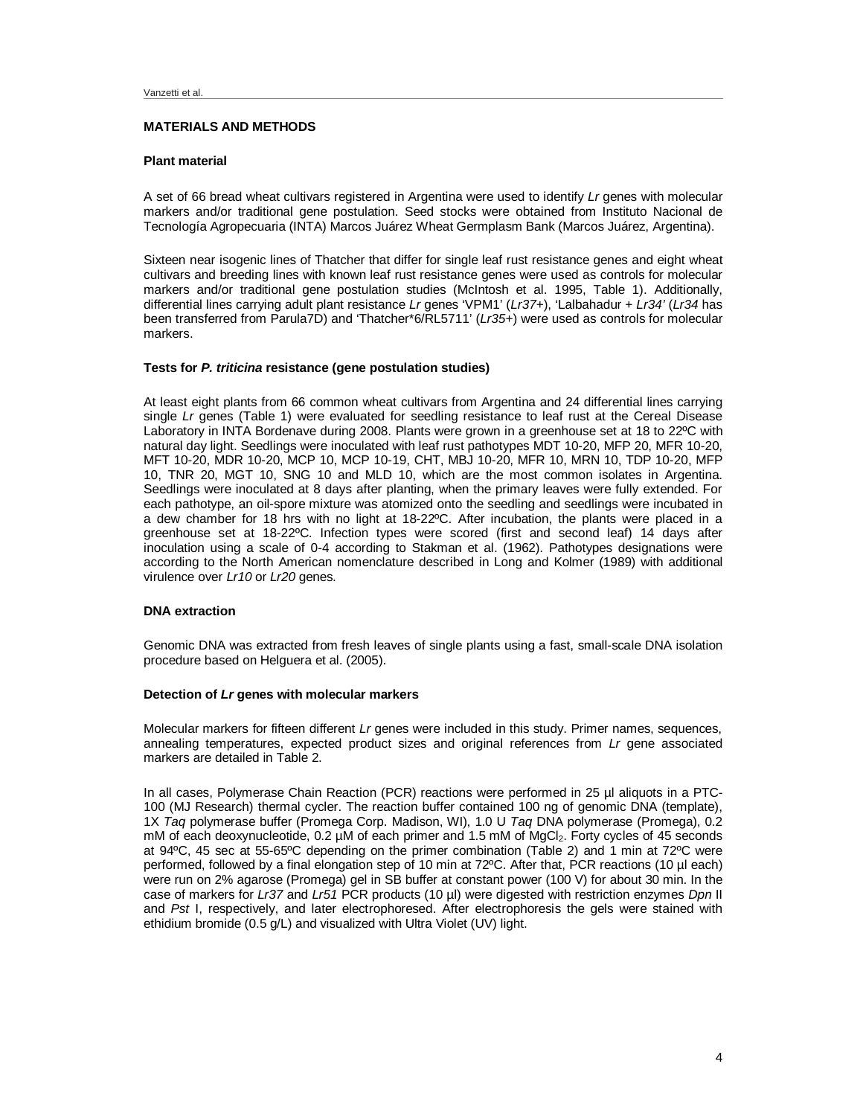# **MATERIALS AND METHODS**

#### **Plant material**

A set of 66 bread wheat cultivars registered in Argentina were used to identify *Lr* genes with molecular markers and/or traditional gene postulation. Seed stocks were obtained from Instituto Nacional de Tecnología Agropecuaria (INTA) Marcos Juárez Wheat Germplasm Bank (Marcos Juárez, Argentina).

Sixteen near isogenic lines of Thatcher that differ for single leaf rust resistance genes and eight wheat cultivars and breeding lines with known leaf rust resistance genes were used as controls for molecular markers and/or traditional gene postulation studies (McIntosh et al. 1995, Table 1). Additionally, differential lines carrying adult plant resistance *Lr* genes 'VPM1' (*Lr37*+), 'Lalbahadur + *Lr34'* (*Lr34* has been transferred from Parula7D) and 'Thatcher\*6/RL5711' (*Lr35*+) were used as controls for molecular markers.

#### **Tests for** *P. triticina* **resistance (gene postulation studies)**

At least eight plants from 66 common wheat cultivars from Argentina and 24 differential lines carrying single *Lr* genes (Table 1) were evaluated for seedling resistance to leaf rust at the Cereal Disease Laboratory in INTA Bordenave during 2008. Plants were grown in a greenhouse set at 18 to 22ºC with natural day light. Seedlings were inoculated with leaf rust pathotypes MDT 10-20, MFP 20, MFR 10-20, MFT 10-20, MDR 10-20, MCP 10, MCP 10-19, CHT, MBJ 10-20, MFR 10, MRN 10, TDP 10-20, MFP 10, TNR 20, MGT 10, SNG 10 and MLD 10, which are the most common isolates in Argentina. Seedlings were inoculated at 8 days after planting, when the primary leaves were fully extended. For each pathotype, an oil-spore mixture was atomized onto the seedling and seedlings were incubated in a dew chamber for 18 hrs with no light at 18-22ºC. After incubation, the plants were placed in a greenhouse set at 18-22ºC. Infection types were scored (first and second leaf) 14 days after inoculation using a scale of 0-4 according to Stakman et al. (1962). Pathotypes designations were according to the North American nomenclature described in Long and Kolmer (1989) with additional virulence over *Lr10* or *Lr20* genes.

# **DNA extraction**

Genomic DNA was extracted from fresh leaves of single plants using a fast, small-scale DNA isolation procedure based on Helguera et al. (2005).

# **Detection of** *Lr* **genes with molecular markers**

Molecular markers for fifteen different *Lr* genes were included in this study. Primer names, sequences, annealing temperatures, expected product sizes and original references from *Lr* gene associated markers are detailed in Table 2.

In all cases, Polymerase Chain Reaction (PCR) reactions were performed in 25 µl aliquots in a PTC-100 (MJ Research) thermal cycler. The reaction buffer contained 100 ng of genomic DNA (template), 1X *Taq* polymerase buffer (Promega Corp. Madison, WI), 1.0 U *Taq* DNA polymerase (Promega), 0.2 mM of each deoxynucleotide, 0.2 µM of each primer and 1.5 mM of MgCl<sub>2</sub>. Forty cycles of 45 seconds at 94ºC, 45 sec at 55-65ºC depending on the primer combination (Table 2) and 1 min at 72ºC were performed, followed by a final elongation step of 10 min at 72ºC. After that, PCR reactions (10 µl each) were run on 2% agarose (Promega) gel in SB buffer at constant power (100 V) for about 30 min. In the case of markers for *Lr37* and *Lr51* PCR products (10 µl) were digested with restriction enzymes *Dpn* II and *Pst* I, respectively, and later electrophoresed. After electrophoresis the gels were stained with ethidium bromide (0.5 g/L) and visualized with Ultra Violet (UV) light.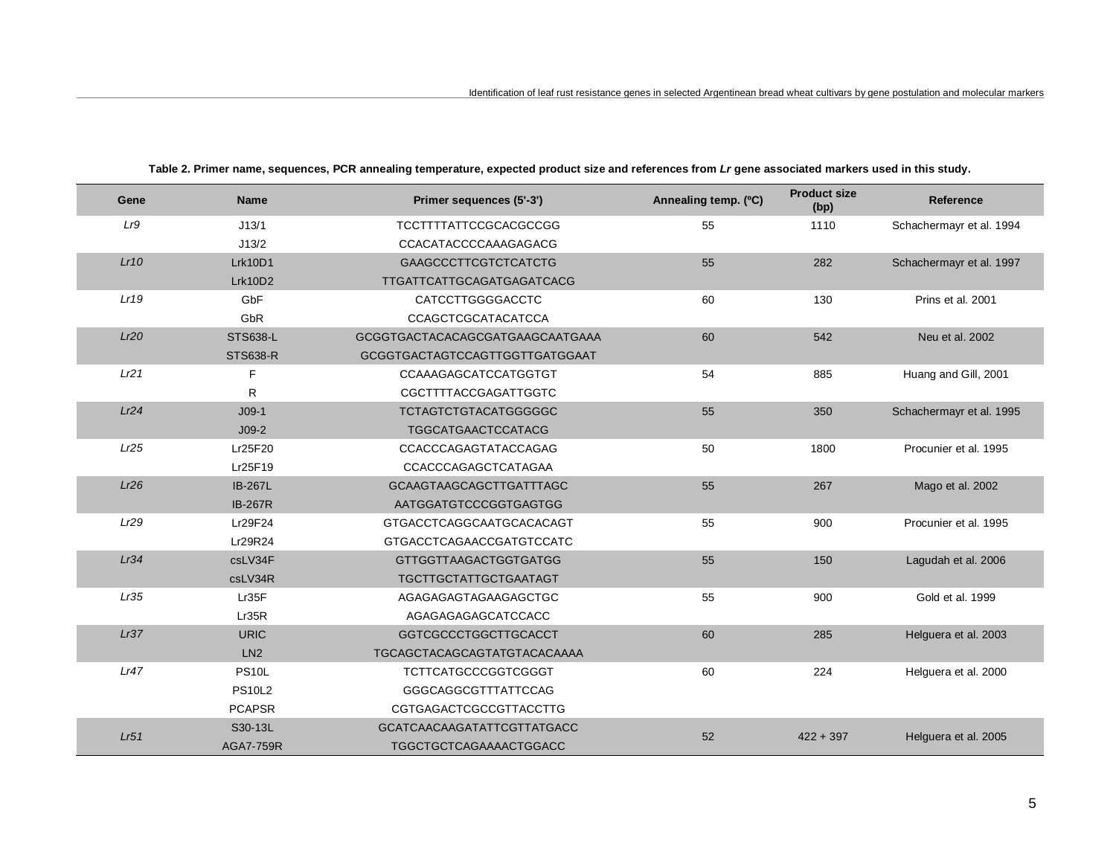| Gene | <b>Name</b>      | Primer sequences (5'-3')        | Annealing temp. (°C) | <b>Product size</b><br>(bp) | Reference                |
|------|------------------|---------------------------------|----------------------|-----------------------------|--------------------------|
| Lr9  | J13/1            | TCCTTTTATTCCGCACGCCGG           | 55                   | 1110                        | Schachermayr et al. 1994 |
|      | J13/2            | <b>CCACATACCCCAAAGAGACG</b>     |                      |                             |                          |
| Lr10 | Lrk10D1          | <b>GAAGCCCTTCGTCTCATCTG</b>     | 55                   | 282                         | Schachermayr et al. 1997 |
|      | Lrk10D2          | TTGATTCATTGCAGATGAGATCACG       |                      |                             |                          |
| Lr19 | GbF              | <b>CATCCTTGGGGACCTC</b>         | 60                   | 130                         | Prins et al. 2001        |
|      | GbR              | <b>CCAGCTCGCATACATCCA</b>       |                      |                             |                          |
| Lr20 | <b>STS638-L</b>  | GCGGTGACTACACAGCGATGAAGCAATGAAA | 60                   | 542                         | Neu et al. 2002          |
|      | <b>STS638-R</b>  | GCGGTGACTAGTCCAGTTGGTTGATGGAAT  |                      |                             |                          |
| Lr21 | F                | CCAAAGAGCATCCATGGTGT            | 54                   | 885                         | Huang and Gill, 2001     |
|      | R                | <b>CGCTTTTACCGAGATTGGTC</b>     |                      |                             |                          |
| Lr24 | $J09-1$          | <b>TCTAGTCTGTACATGGGGGC</b>     | 55                   | 350                         | Schachermayr et al. 1995 |
|      | $J09-2$          | <b>TGGCATGAACTCCATACG</b>       |                      |                             |                          |
| Lr25 | Lr25F20          | CCACCCAGAGTATACCAGAG            | 50                   | 1800                        | Procunier et al. 1995    |
|      | Lr25F19          | CCACCCAGAGCTCATAGAA             |                      |                             |                          |
| Lr26 | <b>IB-267L</b>   | <b>GCAAGTAAGCAGCTTGATTTAGC</b>  | 55                   | 267                         | Mago et al. 2002         |
|      | <b>IB-267R</b>   | AATGGATGTCCCGGTGAGTGG           |                      |                             |                          |
| Lr29 | Lr29F24          | GTGACCTCAGGCAATGCACACAGT        | 55                   | 900                         | Procunier et al. 1995    |
|      | Lr29R24          | GTGACCTCAGAACCGATGTCCATC        |                      |                             |                          |
| Lr34 | csLV34F          | <b>GTTGGTTAAGACTGGTGATGG</b>    | 55                   | 150                         | Lagudah et al. 2006      |
|      | csLV34R          | <b>TGCTTGCTATTGCTGAATAGT</b>    |                      |                             |                          |
| Lr35 | Lr35F            | AGAGAGAGTAGAAGAGCTGC            | 55                   | 900                         | Gold et al. 1999         |
|      | Lr35R            | AGAGAGAGAGCATCCACC              |                      |                             |                          |
| Lr37 | <b>URIC</b>      | <b>GGTCGCCCTGGCTTGCACCT</b>     | 60                   | 285                         | Helguera et al. 2003     |
|      | LN2              | TGCAGCTACAGCAGTATGTACACAAAA     |                      |                             |                          |
| Lr47 | <b>PS10L</b>     | <b>TCTTCATGCCCGGTCGGGT</b>      | 60                   | 224                         | Helguera et al. 2000     |
|      | <b>PS10L2</b>    | GGGCAGGCGTTTATTCCAG             |                      |                             |                          |
|      | <b>PCAPSR</b>    | <b>CGTGAGACTCGCCGTTACCTTG</b>   |                      |                             |                          |
|      | S30-13L          | GCATCAACAAGATATTCGTTATGACC      |                      |                             |                          |
| Lr51 | <b>AGA7-759R</b> | <b>TGGCTGCTCAGAAAACTGGACC</b>   | 52                   | $422 + 397$                 | Helguera et al. 2005     |

**Table 2. Primer name, sequences, PCR annealing temperature, expected product size and references from** *Lr* **gene associated markers used in this study.**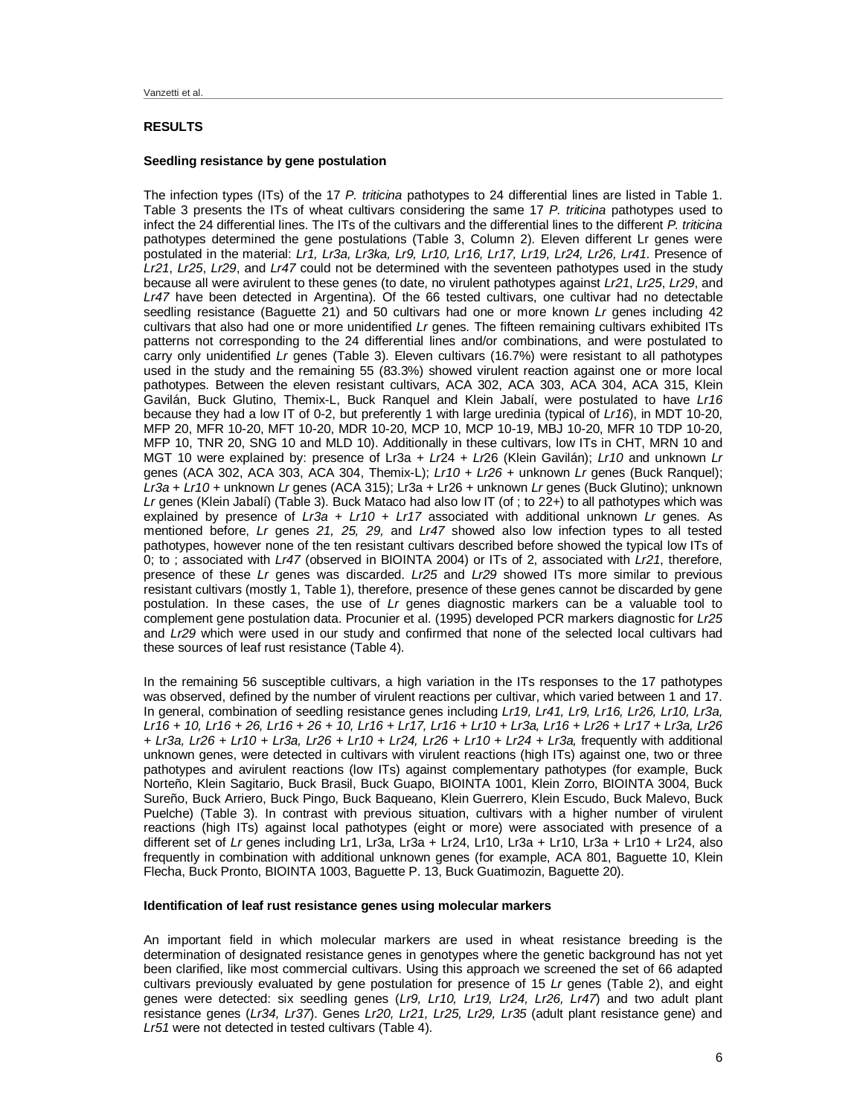# **RESULTS**

#### **Seedling resistance by gene postulation**

The infection types (ITs) of the 17 *P. triticina* pathotypes to 24 differential lines are listed in Table 1. Table 3 presents the ITs of wheat cultivars considering the same 17 *P. triticina* pathotypes used to infect the 24 differential lines. The ITs of the cultivars and the differential lines to the different *P. triticina* pathotypes determined the gene postulations (Table 3, Column 2). Eleven different Lr genes were postulated in the material: *Lr1, Lr3a, Lr3ka, Lr9, Lr10, Lr16, Lr17, Lr19, Lr24, Lr26, Lr41*. Presence of *Lr21*, *Lr25*, *Lr29*, and *Lr47* could not be determined with the seventeen pathotypes used in the study because all were avirulent to these genes (to date, no virulent pathotypes against *Lr21*, *Lr25*, *Lr29*, and *Lr47* have been detected in Argentina). Of the 66 tested cultivars, one cultivar had no detectable seedling resistance (Baguette 21) and 50 cultivars had one or more known *Lr* genes including 42 cultivars that also had one or more unidentified *Lr* genes. The fifteen remaining cultivars exhibited ITs patterns not corresponding to the 24 differential lines and/or combinations, and were postulated to carry only unidentified *Lr* genes (Table 3). Eleven cultivars (16.7%) were resistant to all pathotypes used in the study and the remaining 55 (83.3%) showed virulent reaction against one or more local pathotypes. Between the eleven resistant cultivars, ACA 302, ACA 303, ACA 304, ACA 315, Klein Gavilán, Buck Glutino, Themix-L, Buck Ranquel and Klein Jabalí, were postulated to have *Lr16* because they had a low IT of 0-2, but preferently 1 with large uredinia (typical of *Lr16*), in MDT 10-20, MFP 20, MFR 10-20, MFT 10-20, MDR 10-20, MCP 10, MCP 10-19, MBJ 10-20, MFR 10 TDP 10-20, MFP 10, TNR 20, SNG 10 and MLD 10). Additionally in these cultivars, low ITs in CHT, MRN 10 and MGT 10 were explained by: presence of Lr3a + *Lr*24 + *Lr*26 (Klein Gavilán); *Lr10* and unknown *Lr* genes (ACA 302, ACA 303, ACA 304, Themix-L); *Lr10* + *Lr26* + unknown *Lr* genes (Buck Ranquel); *Lr3a* + *Lr10* + unknown *Lr* genes (ACA 315); Lr3a + Lr26 + unknown *Lr* genes (Buck Glutino); unknown *Lr* genes (Klein Jabalí) (Table 3). Buck Mataco had also low IT (of ; to 22+) to all pathotypes which was explained by presence of *Lr3a + Lr10 + Lr17* associated with additional unknown *Lr* genes. As mentioned before, *Lr* genes *21, 25, 29,* and *Lr47* showed also low infection types to all tested pathotypes, however none of the ten resistant cultivars described before showed the typical low ITs of 0; to ; associated with *Lr47* (observed in BIOINTA 2004) or ITs of 2, associated with *Lr21*, therefore, presence of these *Lr* genes was discarded. *Lr25* and *Lr29* showed ITs more similar to previous resistant cultivars (mostly 1, Table 1), therefore, presence of these genes cannot be discarded by gene postulation. In these cases, the use of *Lr* genes diagnostic markers can be a valuable tool to complement gene postulation data. Procunier et al. (1995) developed PCR markers diagnostic for *Lr25* and *Lr29* which were used in our study and confirmed that none of the selected local cultivars had these sources of leaf rust resistance (Table 4).

In the remaining 56 susceptible cultivars, a high variation in the ITs responses to the 17 pathotypes was observed, defined by the number of virulent reactions per cultivar, which varied between 1 and 17. In general, combination of seedling resistance genes including *Lr19, Lr41, Lr9, Lr16, Lr26, Lr10, Lr3a, Lr16 + 10, Lr16 + 26, Lr16 + 26 + 10, Lr16 + Lr17, Lr16 + Lr10 + Lr3a, Lr16 + Lr26 + Lr17 + Lr3a, Lr26 + Lr3a, Lr26 + Lr10 + Lr3a, Lr26 + Lr10 + Lr24, Lr26 + Lr10 + Lr24 + Lr3a,* frequently with additional unknown genes, were detected in cultivars with virulent reactions (high ITs) against one, two or three pathotypes and avirulent reactions (low ITs) against complementary pathotypes (for example, Buck Norteño, Klein Sagitario, Buck Brasil, Buck Guapo, BIOINTA 1001, Klein Zorro, BIOINTA 3004, Buck Sureño, Buck Arriero, Buck Pingo, Buck Baqueano, Klein Guerrero, Klein Escudo, Buck Malevo, Buck Puelche) (Table 3). In contrast with previous situation, cultivars with a higher number of virulent reactions (high ITs) against local pathotypes (eight or more) were associated with presence of a different set of *Lr* genes including Lr1, Lr3a, Lr3a + Lr24, Lr10, Lr3a + Lr10, Lr3a + Lr10 + Lr24, also frequently in combination with additional unknown genes (for example, ACA 801, Baguette 10, Klein Flecha, Buck Pronto, BIOINTA 1003, Baguette P. 13, Buck Guatimozin, Baguette 20).

# **Identification of leaf rust resistance genes using molecular markers**

An important field in which molecular markers are used in wheat resistance breeding is the determination of designated resistance genes in genotypes where the genetic background has not yet been clarified, like most commercial cultivars. Using this approach we screened the set of 66 adapted cultivars previously evaluated by gene postulation for presence of 15 *Lr* genes (Table 2), and eight genes were detected: six seedling genes (*Lr9, Lr10, Lr19, Lr24, Lr26, Lr47*) and two adult plant resistance genes (*Lr34, Lr37*). Genes *Lr20, Lr21, Lr25, Lr29, Lr35* (adult plant resistance gene) and *Lr51* were not detected in tested cultivars (Table 4).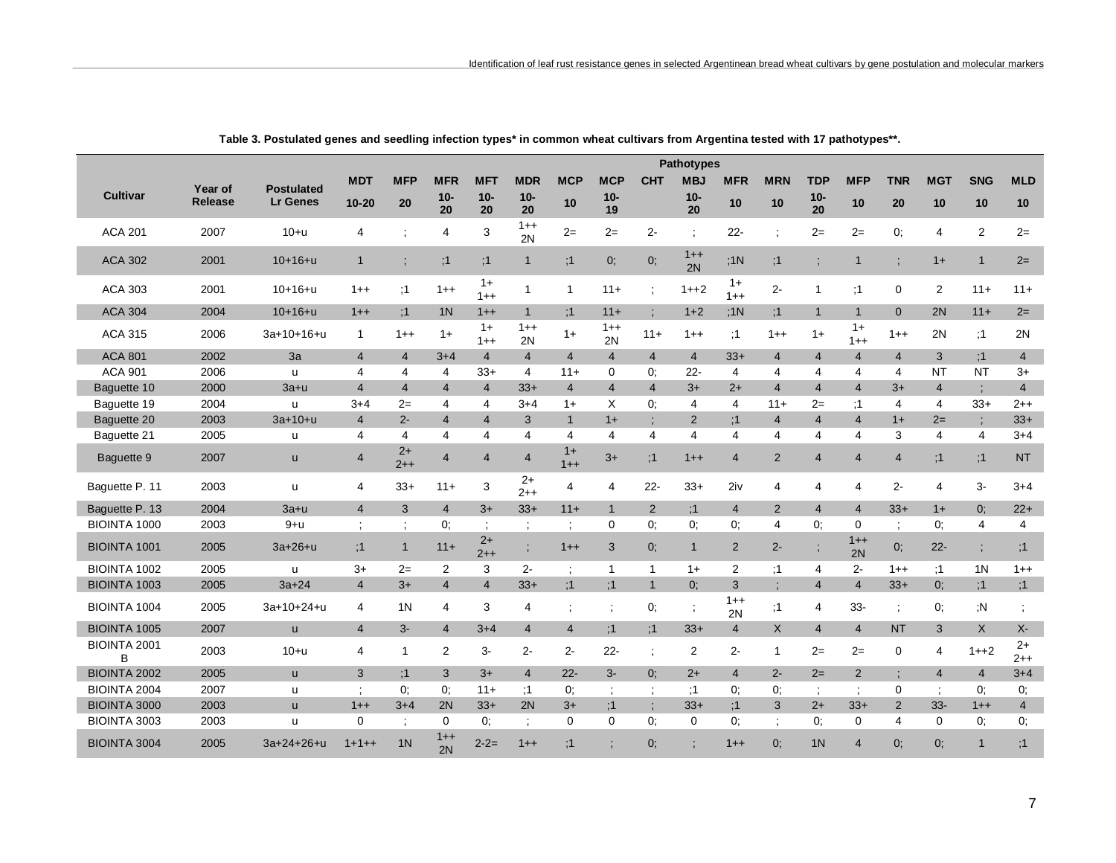|                     |         |                   |                         |                 |                |                 |                 |                      |                |                | <b>Pathotypes</b> |                 |                      |                |                 |                |                |                      |                 |
|---------------------|---------|-------------------|-------------------------|-----------------|----------------|-----------------|-----------------|----------------------|----------------|----------------|-------------------|-----------------|----------------------|----------------|-----------------|----------------|----------------|----------------------|-----------------|
|                     | Year of | <b>Postulated</b> | <b>MDT</b>              | <b>MFP</b>      | <b>MFR</b>     | <b>MFT</b>      | <b>MDR</b>      | <b>MCP</b>           | <b>MCP</b>     | <b>CHT</b>     | <b>MBJ</b>        | <b>MFR</b>      | <b>MRN</b>           | <b>TDP</b>     | <b>MFP</b>      | <b>TNR</b>     | <b>MGT</b>     | <b>SNG</b>           | <b>MLD</b>      |
| <b>Cultivar</b>     | Release | <b>Lr Genes</b>   | $10 - 20$               | 20              | $10 -$<br>20   | $10-$<br>20     | $10 -$<br>20    | 10                   | $10-$<br>19    |                | $10-$<br>20       | 10              | 10                   | $10-$<br>20    | 10              | 20             | 10             | 10                   | 10              |
|                     |         |                   |                         |                 |                |                 | $1++$           |                      |                |                |                   |                 |                      |                |                 |                |                |                      |                 |
| <b>ACA 201</b>      | 2007    | $10+u$            | 4                       | $\ddot{\cdot}$  | $\overline{4}$ | 3               | 2N              | $2=$                 | $2=$           | $2-$           | $\ddot{ }$        | $22 -$          | $\ddot{.}$           | $2=$           | $2=$            | 0;             | 4              | 2                    | $2=$            |
| <b>ACA 302</b>      | 2001    | $10+16+u$         | $\mathbf{1}$            | $\vdots$        | ;1             | ;1              | $\mathbf{1}$    | ;1                   | 0;             | 0;             | $1 + +$<br>2N     | :1N             | ;1                   |                | $\mathbf{1}$    |                | $1+$           | $\mathbf{1}$         | $2=$            |
| <b>ACA 303</b>      | 2001    | $10+16+u$         | $1++$                   | :1              | $1++$          | $1+$<br>$1 + +$ | $\mathbf{1}$    | $\mathbf{1}$         | $11 +$         |                | $1 + 2$           | $1+$<br>$1 + +$ | $2 -$                | $\mathbf{1}$   | :1              | 0              | 2              | $11 +$               | $11 +$          |
| <b>ACA 304</b>      | 2004    | $10+16+u$         | $1++$                   | :1              | 1 <sub>N</sub> | $1++$           | $\mathbf{1}$    | :1                   | $11 +$         |                | $1+2$             | :1N             | :1                   | $\mathbf{1}$   | $\overline{1}$  | $\mathbf{0}$   | 2N             | $11 +$               | $2=$            |
| <b>ACA 315</b>      | 2006    | 3a+10+16+u        | $\mathbf{1}$            | $1 + +$         | $1+$           | $1+$<br>$1 + +$ | $1 + +$<br>2N   | $1+$                 | $1++$<br>2N    | $11 +$         | $1 + +$           | ;1              | $1++$                | $1+$           | $1+$<br>$1 + +$ | $1++$          | 2N             | ;1                   | 2N              |
| <b>ACA 801</b>      | 2002    | 3a                | $\overline{4}$          | $\overline{4}$  | $3 + 4$        | $\overline{4}$  | $\overline{4}$  | $\overline{4}$       | $\overline{4}$ | $\overline{4}$ | $\overline{4}$    | $33+$           | $\overline{4}$       | $\overline{4}$ | $\overline{4}$  | $\overline{4}$ | 3              | :1                   | $\overline{4}$  |
| <b>ACA 901</b>      | 2006    | $\mathsf{u}$      | 4                       | 4               | $\overline{4}$ | $33+$           | 4               | $11 +$               | 0              | 0:             | $22 -$            | 4               | $\overline{4}$       | 4              | $\overline{4}$  | $\overline{4}$ | <b>NT</b>      | <b>NT</b>            | $3+$            |
| Baguette 10         | 2000    | $3a+u$            | $\overline{4}$          | $\overline{4}$  | $\overline{4}$ | $\overline{4}$  | $33+$           | $\overline{4}$       | $\overline{4}$ | $\overline{4}$ | $3+$              | $2+$            | $\overline{4}$       | $\overline{4}$ | $\overline{4}$  | $3+$           | $\overline{4}$ |                      | $\overline{4}$  |
| Baguette 19         | 2004    | $\mathsf{u}$      | $3+4$                   | $2=$            | $\overline{4}$ | 4               | $3+4$           | $1+$                 | X              | 0:             | $\overline{4}$    | 4               | $11+$                | $2=$           | :1              | 4              | 4              | $33+$                | $2 + +$         |
| Baguette 20         | 2003    | $3a+10+u$         | $\overline{4}$          | $2 -$           | $\overline{4}$ | $\overline{4}$  | 3               | $\mathbf{1}$         | $1+$           |                | 2                 | :1              | $\overline{4}$       | $\overline{4}$ | $\overline{4}$  | $1+$           | $2=$           |                      | $33+$           |
| Baguette 21         | 2005    | u                 | 4                       | 4               | $\overline{4}$ | $\overline{4}$  | 4               | 4                    | $\overline{4}$ | $\overline{4}$ | $\overline{4}$    | $\overline{4}$  | $\overline{4}$       | $\overline{4}$ | $\overline{4}$  | 3              | 4              | $\overline{4}$       | $3 + 4$         |
| Baguette 9          | 2007    | <b>u</b>          | 4                       | $2+$<br>$2 + +$ | $\overline{4}$ | $\overline{4}$  | $\overline{4}$  | $1+$<br>$1 + +$      | $3+$           | ;1             | $1 + +$           | $\overline{4}$  | $\overline{2}$       | $\overline{4}$ | $\overline{4}$  | $\overline{4}$ | ;1             | ;1                   | <b>NT</b>       |
| Baguette P. 11      | 2003    | u                 | 4                       | $33+$           | $11+$          | 3               | $2+$<br>$2 + +$ | 4                    | 4              | $22 -$         | $33+$             | 2iv             | 4                    | 4              | $\overline{4}$  | $2 -$          | 4              | 3-                   | $3 + 4$         |
| Baquette P. 13      | 2004    | $3a+u$            | $\overline{\mathbf{4}}$ | 3               | $\overline{4}$ | $3+$            | $33+$           | $11 +$               | $\mathbf{1}$   | 2              | :1                | $\overline{4}$  | $\overline{2}$       | $\overline{4}$ | $\overline{4}$  | $33+$          | $1+$           | 0:                   | $22+$           |
| <b>BIOINTA 1000</b> | 2003    | $9+u$             | $\ddot{\cdot}$          | $\ddot{ }$      | 0.             |                 | $\ddot{i}$      | $\ddot{\phantom{1}}$ | 0              | 0:             | 0:                | 0.              | 4                    | 0:             | $\mathbf 0$     |                | 0:             | $\overline{4}$       | $\overline{4}$  |
| <b>BIOINTA 1001</b> | 2005    | $3a + 26 + u$     | :1                      | $\mathbf{1}$    | $11+$          | $2+$<br>$2 + +$ | $\vdots$        | $1++$                | 3              | 0;             | $\mathbf{1}$      | $\overline{2}$  | $2 -$                |                | $1++$<br>2N     | 0;             | $22 -$         | $\ddot{\phantom{a}}$ | ;1              |
| BIOINTA 1002        | 2005    | u                 | $3+$                    | $2=$            | 2              | 3               | $2 -$           | $\ddot{\phantom{1}}$ | $\mathbf{1}$   | $\mathbf 1$    | $1+$              | $\overline{2}$  | ;1                   | 4              | $2 -$           | $1++$          | ;1             | 1N                   | $1 + +$         |
| <b>BIOINTA 1003</b> | 2005    | $3a + 24$         | $\overline{4}$          | $3+$            | $\overline{4}$ | $\overline{4}$  | $33+$           | :1                   | :1             | $\overline{1}$ | $0$ ;             | 3               | $\vdots$             | $\overline{4}$ | $\overline{4}$  | $33+$          | $0$ :          | ;1                   | ;1              |
| <b>BIOINTA 1004</b> | 2005    | $3a+10+24+u$      | 4                       | 1 <sup>N</sup>  | $\overline{4}$ | 3               | 4               | $\ddot{i}$           | $\ddot{\cdot}$ | 0;             |                   | $1++$<br>2N     | ;1                   | 4              | $33-$           | $\ddot{.}$     | 0;             | ,N                   |                 |
| <b>BIOINTA 1005</b> | 2007    | $\mathsf{u}$      | $\overline{4}$          | $3-$            | $\overline{4}$ | $3 + 4$         | $\overline{4}$  | $\overline{4}$       | :1             | :1             | $33+$             | $\overline{4}$  | $\mathsf{X}$         | $\overline{4}$ | $\overline{4}$  | <b>NT</b>      | 3              | $\mathsf{X}$         | $X-$            |
| BIOINTA 2001<br>B   | 2003    | $10+u$            | 4                       | $\mathbf{1}$    | $\overline{2}$ | $3-$            | $2-$            | $2 -$                | $22 -$         | $\ddot{\cdot}$ | 2                 | $2 -$           | $\mathbf{1}$         | $2=$           | $2=$            | $\mathbf 0$    | 4              | $1 + 2$              | $2+$<br>$2 + +$ |
| <b>BIOINTA 2002</b> | 2005    | <b>u</b>          | 3                       | :1              | 3              | $3+$            | $\overline{4}$  | $22 -$               | $3-$           | $0$ :          | $2+$              | $\overline{4}$  | $2 -$                | $2=$           | $\overline{2}$  |                | $\overline{4}$ | $\overline{4}$       | $3 + 4$         |
| <b>BIOINTA 2004</b> | 2007    | $\mathsf{u}$      | ÷                       | 0:              | 0.             | $11 +$          | :1              | 0.                   | $\ddot{\cdot}$ | $\ddot{ }$     | :1                | 0:              | 0.                   |                | $\ddot{\cdot}$  | 0              |                | 0:                   | 0;              |
| <b>BIOINTA 3000</b> | 2003    | <b>u</b>          | $1++$                   | $3 + 4$         | 2N             | $33+$           | 2N              | $3+$                 | :1             | $\vdots$       | $33+$             | :1              | 3                    | $2+$           | $33+$           | $\overline{2}$ | $33 -$         | $1++$                | $\overline{4}$  |
| BIOINTA 3003        | 2003    | u                 | 0                       | $\ddot{\cdot}$  | $\mathbf 0$    | 0:              | ÷               | $\mathbf 0$          | $\mathbf 0$    | 0:             | $\mathbf 0$       | 0.              | $\ddot{\phantom{1}}$ | 0:             | $\mathbf 0$     | 4              | $\mathbf 0$    | 0.                   | 0;              |
| <b>BIOINTA 3004</b> | 2005    | $3a+24+26+u$      | $1 + 1 + +$             | 1 <sub>N</sub>  | $1 + +$<br>2N  | $2 - 2 =$       | $1 + +$         | :1                   |                | 0:             |                   | $1++$           | $0$ :                | 1 <sub>N</sub> | $\overline{4}$  | 0:             | $0$ :          | $\mathbf{1}$         | :1              |

Table 3. Postulated genes and seedling infection types\* in common wheat cultivars from Argentina tested with 17 pathotypes\*\*.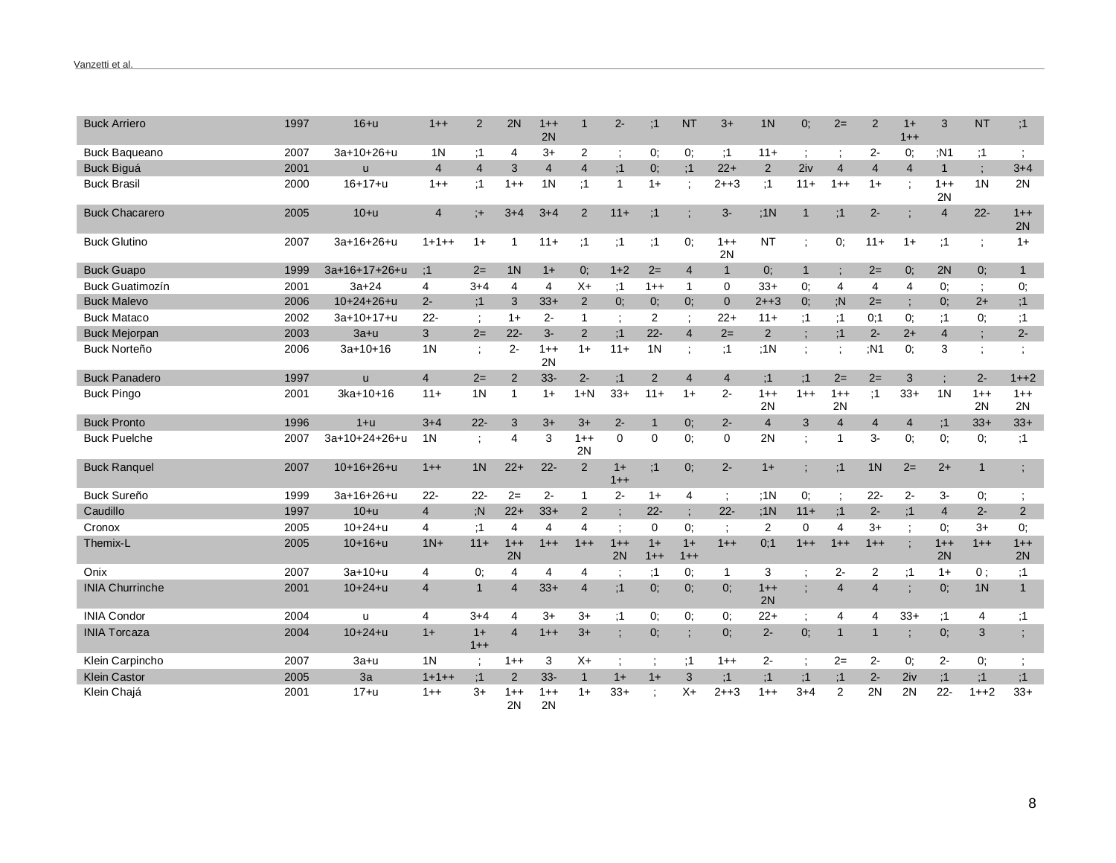| <b>Buck Arriero</b>    | 1997 | $16+u$          | $1 + +$        | $\overline{2}$ | 2N             | $1++$<br>2N    | $\mathbf 1$    | $2-$           | :1             | <b>NT</b>       | $3+$           | 1 <sub>N</sub> | 0;             | $2=$           | 2              | $1+$<br>$1 + +$ | 3              | <b>NT</b>            | ;1                   |
|------------------------|------|-----------------|----------------|----------------|----------------|----------------|----------------|----------------|----------------|-----------------|----------------|----------------|----------------|----------------|----------------|-----------------|----------------|----------------------|----------------------|
| <b>Buck Baqueano</b>   | 2007 | $3a+10+26+u$    | 1 <sub>N</sub> | :1             | 4              | $3+$           | 2              | $\ddot{ }$     | 0:             | 0;              | :1             | $11 +$         | $\ddot{\cdot}$ | ÷              | $2-$           | 0;              | :N1            | ;1                   | $\ddot{ }$           |
| <b>Buck Biguá</b>      | 2001 | <b>u</b>        | $\overline{4}$ | $\overline{4}$ | 3              | $\overline{4}$ | $\overline{4}$ | :1             | $0$ :          | :1              | $22+$          | 2              | 2iv            | $\overline{4}$ | $\overline{4}$ | $\overline{4}$  | $\mathbf{1}$   | $\ddot{i}$           | $3 + 4$              |
| <b>Buck Brasil</b>     | 2000 | $16 + 17 + u$   | $1++$          | :1             | $1 + +$        | 1 <sub>N</sub> | :1             | $\mathbf{1}$   | $1+$           |                 | $2 + +3$       | :1             | $11 +$         | $1 + +$        | $1+$           |                 | $1++$<br>2N    | 1 <sup>N</sup>       | 2N                   |
| <b>Buck Chacarero</b>  | 2005 | $10+u$          | $\overline{4}$ | $;+$           | $3 + 4$        | $3 + 4$        | $\overline{2}$ | $11+$          | :1             | $\vdots$        | $3-$           | ;1N            | $\mathbf{1}$   | ;1             | $2 -$          |                 | $\overline{4}$ | $22 -$               | $1++$<br>2N          |
| <b>Buck Glutino</b>    | 2007 | 3a+16+26+u      | $1+1++$        | $1+$           | 1              | $11 +$         | ;1             | ;1             | ;1             | 0;              | $1 + +$<br>2N  | <b>NT</b>      |                | 0;             | $11+$          | $1+$            | ;1             | ÷                    | $1+$                 |
| <b>Buck Guapo</b>      | 1999 | $3a+16+17+26+u$ | :1             | $2=$           | 1 <sup>N</sup> | $1+$           | $0$ :          | $1+2$          | $2=$           | 4               | $\mathbf{1}$   | 0:             | $\mathbf{1}$   | ÷              | $2=$           | 0:              | 2N             | 0:                   | $\mathbf{1}$         |
| <b>Buck Guatimozín</b> | 2001 | $3a + 24$       | 4              | $3 + 4$        | 4              | $\overline{4}$ | $X+$           | :1             | $1 + +$        | $\overline{1}$  | $\mathbf 0$    | $33+$          | 0:             | 4              | 4              | 4               | 0:             | $\ddot{\phantom{a}}$ | 0;                   |
| <b>Buck Malevo</b>     | 2006 | $10+24+26+u$    | $2 -$          | :1             | 3              | $33+$          | $\overline{2}$ | $0$ ;          | $0$ :          | 0:              | $\mathbf{0}$   | $2 + +3$       | 0:             | :N             | $2=$           |                 | 0:             | $2+$                 | ;1                   |
| <b>Buck Mataco</b>     | 2002 | 3a+10+17+u      | $22 -$         | ÷              | $1+$           | $2 -$          | 1              | $\ddot{\cdot}$ | 2              | $\ddot{\cdot}$  | $22+$          | $11+$          | :1             | :1             | 0:1            | 0.              | ;1             | 0;                   | ;1                   |
| <b>Buck Mejorpan</b>   | 2003 | $3a+u$          | 3              | $2=$           | $22 -$         | $3-$           | 2              | :1             | $22 -$         | $\overline{4}$  | $2=$           | $\overline{2}$ |                | :1             | $2 -$          | $2+$            | $\overline{4}$ | $\vdots$             | $2 -$                |
| <b>Buck Norteño</b>    | 2006 | $3a+10+16$      | 1 <sub>N</sub> | $\bullet$      | $2-$           | $1++$<br>2N    | $1+$           | $11 +$         | 1 <sub>N</sub> |                 | :1             | ;1N            | $\ddot{ }$     | $\ddot{\cdot}$ | :N1            | 0:              | 3              | $\vdots$             |                      |
| <b>Buck Panadero</b>   | 1997 | $\mathsf{u}$    | $\overline{4}$ | $2=$           | 2              | $33-$          | $2 -$          | :1             | $\overline{2}$ | $\overline{4}$  | $\overline{4}$ | :1             | :1             | $2=$           | $2=$           | $\mathbf{3}$    | $\bullet$      | $2-$                 | $1 + 2$              |
| <b>Buck Pingo</b>      | 2001 | $3ka+10+16$     | $11+$          | 1 <sup>N</sup> | $\mathbf{1}$   | $1+$           | $1+N$          | $33+$          | $11 +$         | $1+$            | $2-$           | $1 + +$<br>2N  | $1++$          | $1++$<br>2N    | :1             | $33+$           | 1 <sub>N</sub> | $1++$<br>2N          | $1++$<br>2N          |
|                        |      |                 |                |                |                |                |                |                |                |                 |                |                |                |                |                |                 |                |                      |                      |
| <b>Buck Pronto</b>     | 1996 | $1+u$           | $3 + 4$        | $22 -$         | 3              | $3+$           | $3+$           | $2 -$          | $\overline{1}$ | 0:              | $2 -$          | $\overline{4}$ | 3              | $\overline{4}$ | $\overline{4}$ | $\overline{4}$  | :1             | $33+$                | $33+$                |
| <b>Buck Puelche</b>    | 2007 | 3a+10+24+26+u   | 1 <sub>N</sub> | ÷              | 4              | 3              | $1 + +$<br>2N  | $\mathbf 0$    | 0              | 0:              | $\mathbf 0$    | 2N             |                | $\overline{1}$ | 3-             | 0:              | 0:             | 0;                   | :1                   |
| <b>Buck Ranquel</b>    | 2007 | $10+16+26+u$    | $1++$          | 1 <sub>N</sub> | $22+$          | $22 -$         | $\overline{2}$ | $1+$<br>$1++$  | ;1             | 0;              | $2-$           | $1+$           | ÷              | ;1             | 1 <sub>N</sub> | $2=$            | $2+$           | $\mathbf{1}$         | $\vdots$             |
| <b>Buck Sureño</b>     | 1999 | 3a+16+26+u      | $22 -$         | $22 -$         | $2=$           | $2-$           | 1              | $2-$           | $1+$           | 4               | $\cdot$        | ;1N            | 0;             | $\ddot{.}$     | $22 -$         | $2 -$           | 3-             | 0;                   | $\ddot{\phantom{a}}$ |
| Caudillo               | 1997 | $10+u$          | $\overline{4}$ | : N            | $22+$          | $33+$          | $\overline{2}$ | $\blacksquare$ | $22 -$         | ÷               | $22 -$         | :1N            | $11 +$         | ;1             | $2 -$          | :1              | $\overline{4}$ | $2 -$                | $\overline{2}$       |
| Cronox                 | 2005 | $10+24+u$       | 4              | :1             | $\overline{4}$ | 4              | 4              | $\ddot{ }$     | 0              | 0:              |                | 2              | 0              | $\overline{4}$ | $3+$           |                 | 0:             | $3+$                 | 0;                   |
| Themix-L               | 2005 | $10+16+u$       | $1N+$          | $11 +$         | $1++$<br>2N    | $1++$          | $1++$          | $1 + +$<br>2N  | $1+$<br>$1++$  | $1+$<br>$1 + +$ | $1 + +$        | 0;1            | $1++$          | $1++$          | $1 + +$        |                 | $1++$<br>2N    | $1++$                | $1++$<br>2N          |
| Onix                   | 2007 | $3a+10+u$       | 4              | 0.             | 4              | 4              | 4              | $\ddot{\cdot}$ | :1             | 0:              | $\mathbf{1}$   | 3              | $\ddot{ }$     | $2-$           | $\overline{2}$ | :1              | $1+$           | $0$ ;                | ;1                   |
| <b>INIA Churrinche</b> | 2001 | $10+24+u$       | $\overline{4}$ | $\mathbf{1}$   | $\overline{4}$ | $33+$          | $\overline{4}$ | ;1             | $0$ :          | 0:              | 0;             | $1++$<br>2N    |                | $\overline{4}$ | $\overline{4}$ |                 | 0;             | 1 <sub>N</sub>       | $\mathbf{1}$         |
| <b>INIA Condor</b>     | 2004 | u               | 4              | $3+4$          | 4              | $3+$           | $3+$           | ;1             | 0;             | 0;              | 0;             | $22+$          | $\ddot{ }$     | 4              | 4              | $33+$           | ;1             | 4                    | ;1                   |
| <b>INIA Torcaza</b>    | 2004 | $10 + 24 + u$   | $1+$           | $1+$<br>$1++$  | $\overline{4}$ | $1++$          | $3+$           | $\vdots$       | 0;             | $\cdot$         | 0;             | $2 -$          | 0;             | $\mathbf{1}$   | $\mathbf{1}$   |                 | 0;             | 3                    |                      |
| Klein Carpincho        | 2007 | $3a+u$          | 1 <sub>N</sub> | $\ddot{ }$ ,   | $1++$          | 3              | $X+$           | $\ddot{i}$     |                | ;1              | $1 + +$        | $2 -$          | $\ddot{\cdot}$ | $2=$           | $2-$           | 0;              | $2-$           | 0;                   | $\ddot{\phantom{a}}$ |
| <b>Klein Castor</b>    | 2005 | 3a              | $1+1++$        | :1             | 2              | $33 -$         | $\mathbf{1}$   | $1+$           | $1+$           | 3               | :1             | ;1             | :1             | :1             | $2 -$          | 2iv             | :1             | ;1                   | ;1                   |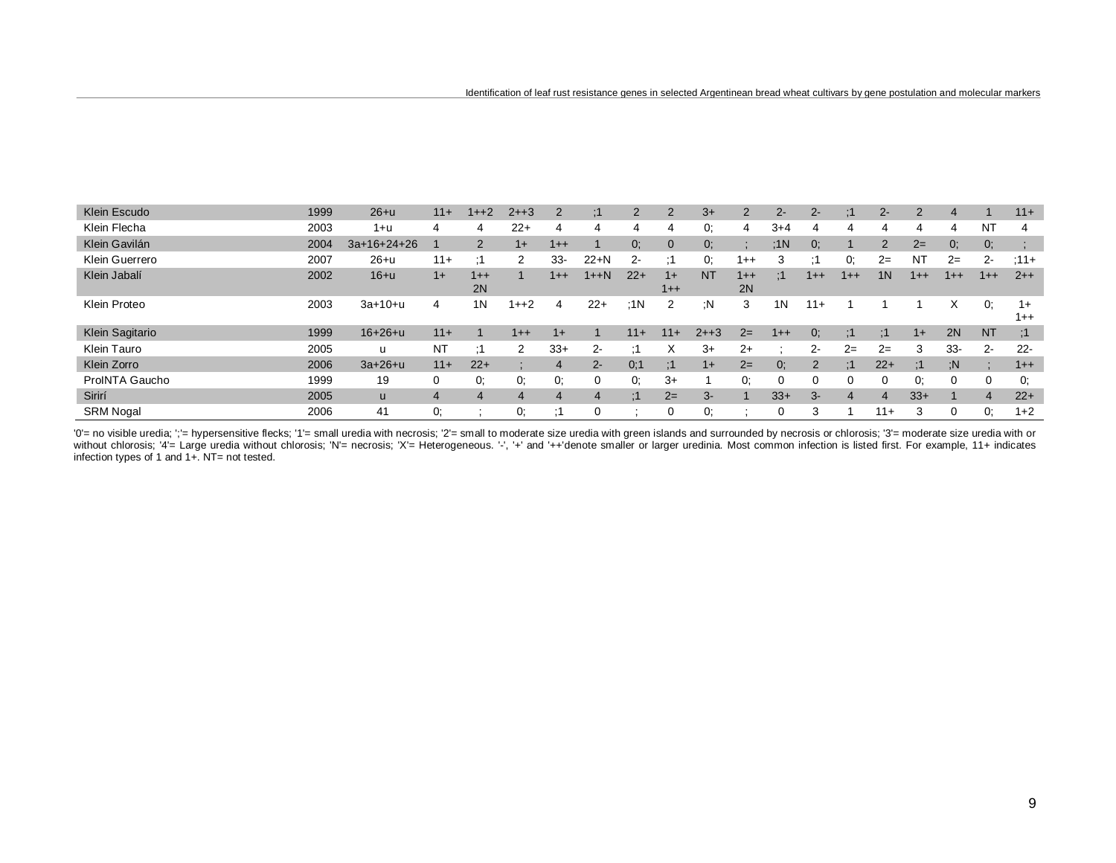| Klein Escudo     | 1999 | $26+u$        | $11 +$ | $1 + 2$        | $2 + 3$ | 2         | ÷         | $\overline{2}$ | $\overline{2}$ | $3+$      | $\overline{2}$ | $2 -$    | $2 -$   | :1             | $2 -$          | $\overline{2}$ | 4        |                | $11+$         |
|------------------|------|---------------|--------|----------------|---------|-----------|-----------|----------------|----------------|-----------|----------------|----------|---------|----------------|----------------|----------------|----------|----------------|---------------|
| Klein Flecha     | 2003 | $1+u$         | 4      | 4              | $22+$   | 4         | 4         | 4              | 4              | 0:        | 4              | $3+4$    |         | 4              | 4              | 4              | 4        | N <sub>1</sub> | 4             |
| Klein Gavilán    | 2004 | $3a+16+24+26$ |        | $\overline{2}$ | $1+$    | $1++$     |           | 0;             | $\mathbf{0}$   | 0:        |                | :1N      | $0$ :   |                | $\overline{2}$ | $2=$           | 0:       | 0;             |               |
| Klein Guerrero   | 2007 | $26+u$        | $11 +$ | - 1            | 2       | $33 -$    | $22+N$    | 2-             | :1             | 0:        | 1++            | 3        | $\cdot$ | 0:             | $2=$           | N <sub>1</sub> | $2=$     | $2 -$          | $:11+$        |
| Klein Jabalí     | 2002 | $16+u$        | $1+$   | $1 + +$<br>2N  |         | $1 + +$   | $1 + + N$ | $22+$          | $1+$<br>$1++$  | <b>NT</b> | $1++$<br>2N    | :1       | $1 + +$ | $1 + +$        | 1 <sub>N</sub> | $1++$          | $1 + +$  | $1++$          | $2++$         |
| Klein Proteo     | 2003 | $3a+10+u$     | 4      | 1 <sub>N</sub> | 1++2    | 4         | $22+$     | :1N            | 2              | :N        | 3              | 1N       | $11 +$  |                |                |                | Х        | 0.             | $1+$<br>$1++$ |
| Klein Sagitario  | 1999 | $16 + 26 + u$ | $11+$  |                | $1++$   | $1+$      |           | $11+$          | $11+$          | $2 + 3$   | $2=$           | $1++$    | 0:      | :1             | :1             | $1+$           | 2N       | <b>NT</b>      | :1            |
| Klein Tauro      | 2005 | u             | ΝT     | - 1            | 2       | $33+$     | $2 -$     |                | X              | $3+$      | $2+$           |          | 2-      | $2=$           | $2=$           | 3              | $33-$    | $2 -$          | $22 -$        |
| Klein Zorro      | 2006 | $3a + 26 + u$ | $11 +$ | $22+$          |         | 4         | $2 -$     | 0:1            | :1             | $1+$      | $2=$           | 0:       | 2       | :1             | $22+$          | $\cdot$ 1      | : N      |                | $1++$         |
| ProINTA Gaucho   | 1999 | 19            | 0      | 0.             | 0.      | 0.        | 0         | 0.             | $3+$           |           | 0:             | $\Omega$ |         | 0              | $\Omega$       | 0.             | $\Omega$ | 0              | 0:            |
| Sirirí           | 2005 | <b>u</b>      | 4      | 4              | 4       | 4         | 4         | :1             | $2=$           | 3-        |                | $33+$    | $3-$    | $\overline{4}$ | $\overline{4}$ | $33+$          |          | $\overline{4}$ | $22+$         |
| <b>SRM Nogal</b> | 2006 | 41            | 0.     |                | 0.      | $\cdot$ 1 | 0         | $\cdot$        | 0              | 0.        |                | 0        | 3       |                | $11 +$         | 3              | 0        | 0.             | $1 + 2$       |

'0' = no visible uredia; ';' = hypersensitive flecks; '1' = small uredia with necrosis; '2' = small to moderate size uredia with green islands and surrounded by necrosis or chlorosis; '3' = moderate size uredia with or without chlorosis; "4'= Large uredia without chlorosis; "N'= necrosis; "X'= Heterogeneous. '-', '+' and '++'denote smaller or larger uredinia. Most common infection is listed first. For example, 11+ indicates infection typ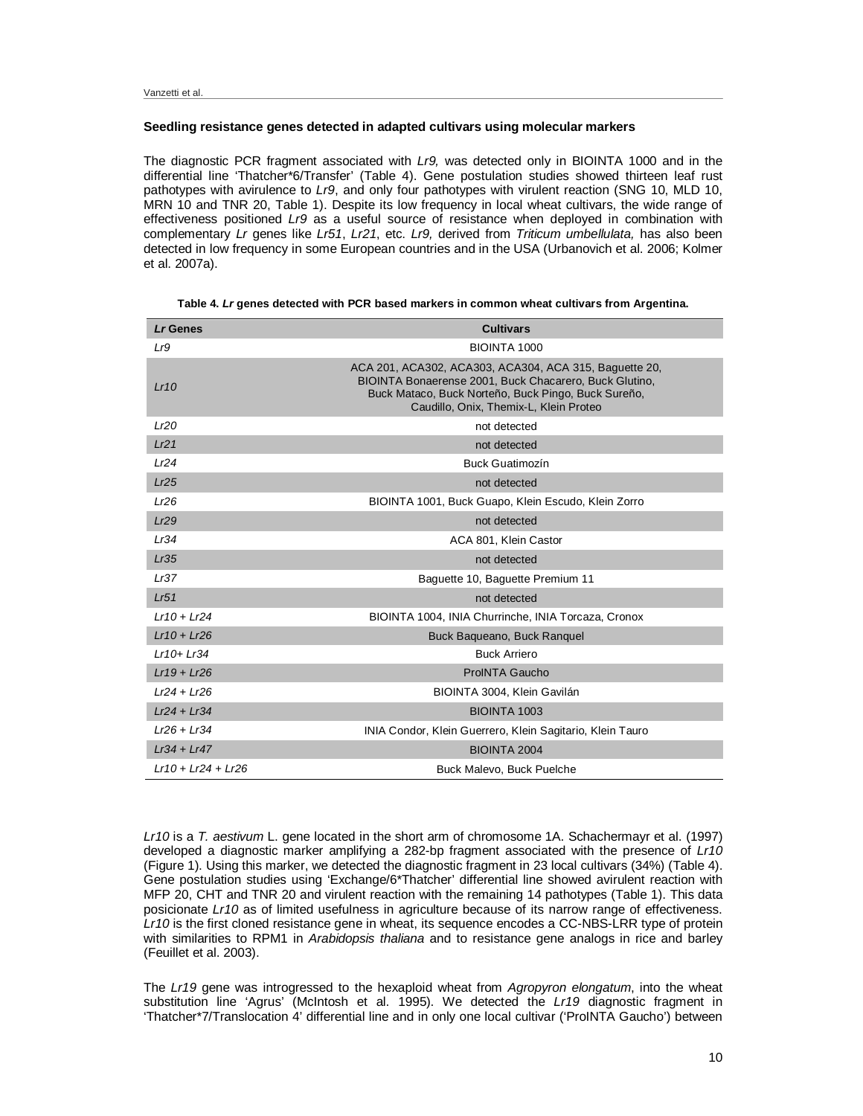# **Seedling resistance genes detected in adapted cultivars using molecular markers**

The diagnostic PCR fragment associated with *Lr9,* was detected only in BIOINTA 1000 and in the differential line 'Thatcher\*6/Transfer' (Table 4). Gene postulation studies showed thirteen leaf rust pathotypes with avirulence to *Lr9*, and only four pathotypes with virulent reaction (SNG 10, MLD 10, MRN 10 and TNR 20, Table 1). Despite its low frequency in local wheat cultivars, the wide range of effectiveness positioned *Lr9* as a useful source of resistance when deployed in combination with complementary *Lr* genes like *Lr51*, *Lr21*, etc. *Lr9,* derived from *Triticum umbellulata,* has also been detected in low frequency in some European countries and in the USA (Urbanovich et al. 2006; Kolmer et al. 2007a).

| Lr Genes             | <b>Cultivars</b>                                                                                                                                                                                                  |
|----------------------|-------------------------------------------------------------------------------------------------------------------------------------------------------------------------------------------------------------------|
| Lr9                  | BIOINTA 1000                                                                                                                                                                                                      |
| Lr10                 | ACA 201, ACA302, ACA303, ACA304, ACA 315, Baguette 20,<br>BIOINTA Bonaerense 2001, Buck Chacarero, Buck Glutino,<br>Buck Mataco, Buck Norteño, Buck Pingo, Buck Sureño,<br>Caudillo, Onix, Themix-L, Klein Proteo |
| Lr20                 | not detected                                                                                                                                                                                                      |
| Lr21                 | not detected                                                                                                                                                                                                      |
| Lr24                 | <b>Buck Guatimozín</b>                                                                                                                                                                                            |
| Lr25                 | not detected                                                                                                                                                                                                      |
| Lr26                 | BIOINTA 1001, Buck Guapo, Klein Escudo, Klein Zorro                                                                                                                                                               |
| Lr29                 | not detected                                                                                                                                                                                                      |
| Lr34                 | ACA 801, Klein Castor                                                                                                                                                                                             |
| Lr35                 | not detected                                                                                                                                                                                                      |
| Lr37                 | Baguette 10, Baguette Premium 11                                                                                                                                                                                  |
| Lr51                 | not detected                                                                                                                                                                                                      |
| $Lr10 + Lr24$        | BIOINTA 1004, INIA Churrinche, INIA Torcaza, Cronox                                                                                                                                                               |
| $Lr10 + Lr26$        | Buck Baqueano, Buck Ranguel                                                                                                                                                                                       |
| $Lr10+Lr34$          | <b>Buck Arriero</b>                                                                                                                                                                                               |
| $Lr19 + Lr26$        | <b>ProINTA Gaucho</b>                                                                                                                                                                                             |
| $Lr24 + Lr26$        | BIOINTA 3004, Klein Gavilán                                                                                                                                                                                       |
| $Lr24 + Lr34$        | <b>BIOINTA 1003</b>                                                                                                                                                                                               |
| $Lr26 + Lr34$        | INIA Condor, Klein Guerrero, Klein Sagitario, Klein Tauro                                                                                                                                                         |
| $Lr34 + Lr47$        | <b>BIOINTA 2004</b>                                                                                                                                                                                               |
| $Lr10 + Lr24 + Lr26$ | Buck Malevo, Buck Puelche                                                                                                                                                                                         |

|  |  | Table 4. <i>Lr</i> genes detected with PCR based markers in common wheat cultivars from Argentina. |
|--|--|----------------------------------------------------------------------------------------------------|
|--|--|----------------------------------------------------------------------------------------------------|

*Lr10* is a *T. aestivum* L. gene located in the short arm of chromosome 1A. Schachermayr et al. (1997) developed a diagnostic marker amplifying a 282-bp fragment associated with the presence of *Lr10* (Figure 1). Using this marker, we detected the diagnostic fragment in 23 local cultivars (34%) (Table 4). Gene postulation studies using 'Exchange/6\*Thatcher' differential line showed avirulent reaction with MFP 20, CHT and TNR 20 and virulent reaction with the remaining 14 pathotypes (Table 1). This data posicionate *Lr10* as of limited usefulness in agriculture because of its narrow range of effectiveness. *Lr10* is the first cloned resistance gene in wheat, its sequence encodes a CC-NBS-LRR type of protein with similarities to RPM1 in *Arabidopsis thaliana* and to resistance gene analogs in rice and barley (Feuillet et al. 2003).

The *Lr19* gene was introgressed to the hexaploid wheat from *Agropyron elongatum*, into the wheat substitution line 'Agrus' (McIntosh et al. 1995). We detected the *Lr19* diagnostic fragment in 'Thatcher\*7/Translocation 4' differential line and in only one local cultivar ('ProINTA Gaucho') between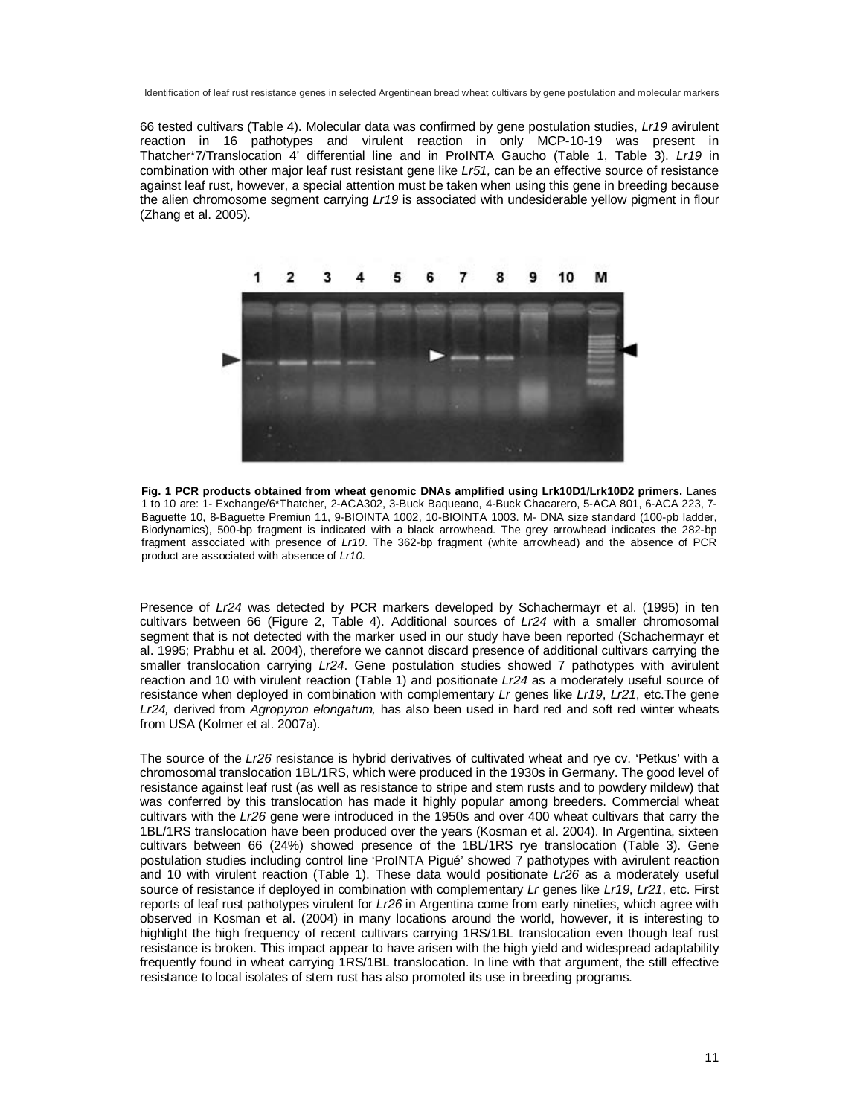66 tested cultivars (Table 4). Molecular data was confirmed by gene postulation studies, *Lr19* avirulent reaction in 16 pathotypes and virulent reaction in only MCP-10-19 was present in Thatcher\*7/Translocation 4' differential line and in ProINTA Gaucho (Table 1, Table 3). *Lr19* in combination with other major leaf rust resistant gene like *Lr51,* can be an effective source of resistance against leaf rust, however, a special attention must be taken when using this gene in breeding because the alien chromosome segment carrying *Lr19* is associated with undesiderable yellow pigment in flour (Zhang et al. 2005).



**Fig. 1 PCR products obtained from wheat genomic DNAs amplified using Lrk10D1/Lrk10D2 primers.** Lanes 1 to 10 are: 1- Exchange/6\*Thatcher, 2-ACA302, 3-Buck Baqueano, 4-Buck Chacarero, 5-ACA 801, 6-ACA 223, 7- Baguette 10, 8-Baguette Premiun 11, 9-BIOINTA 1002, 10-BIOINTA 1003. M- DNA size standard (100-pb ladder, Biodynamics), 500-bp fragment is indicated with a black arrowhead. The grey arrowhead indicates the 282-bp fragment associated with presence of *Lr10*. The 362-bp fragment (white arrowhead) and the absence of PCR product are associated with absence of *Lr10*.

Presence of *Lr24* was detected by PCR markers developed by Schachermayr et al. (1995) in ten cultivars between 66 (Figure 2, Table 4). Additional sources of *Lr24* with a smaller chromosomal segment that is not detected with the marker used in our study have been reported (Schachermayr et al. 1995; Prabhu et al. 2004), therefore we cannot discard presence of additional cultivars carrying the smaller translocation carrying *Lr24*. Gene postulation studies showed 7 pathotypes with avirulent reaction and 10 with virulent reaction (Table 1) and positionate *Lr24* as a moderately useful source of resistance when deployed in combination with complementary *Lr* genes like *Lr19*, *Lr21*, etc.The gene *Lr24,* derived from *Agropyron elongatum,* has also been used in hard red and soft red winter wheats from USA (Kolmer et al. 2007a).

The source of the *Lr26* resistance is hybrid derivatives of cultivated wheat and rye cv. 'Petkus' with a chromosomal translocation 1BL/1RS, which were produced in the 1930s in Germany. The good level of resistance against leaf rust (as well as resistance to stripe and stem rusts and to powdery mildew) that was conferred by this translocation has made it highly popular among breeders. Commercial wheat cultivars with the *Lr26* gene were introduced in the 1950s and over 400 wheat cultivars that carry the 1BL/1RS translocation have been produced over the years (Kosman et al. 2004). In Argentina, sixteen cultivars between 66 (24%) showed presence of the 1BL/1RS rye translocation (Table 3). Gene postulation studies including control line 'ProINTA Pigué' showed 7 pathotypes with avirulent reaction and 10 with virulent reaction (Table 1). These data would positionate *Lr26* as a moderately useful source of resistance if deployed in combination with complementary *Lr* genes like *Lr19*, *Lr21*, etc. First reports of leaf rust pathotypes virulent for *Lr26* in Argentina come from early nineties, which agree with observed in Kosman et al. (2004) in many locations around the world, however, it is interesting to highlight the high frequency of recent cultivars carrying 1RS/1BL translocation even though leaf rust resistance is broken. This impact appear to have arisen with the high yield and widespread adaptability frequently found in wheat carrying 1RS/1BL translocation. In line with that argument, the still effective resistance to local isolates of stem rust has also promoted its use in breeding programs.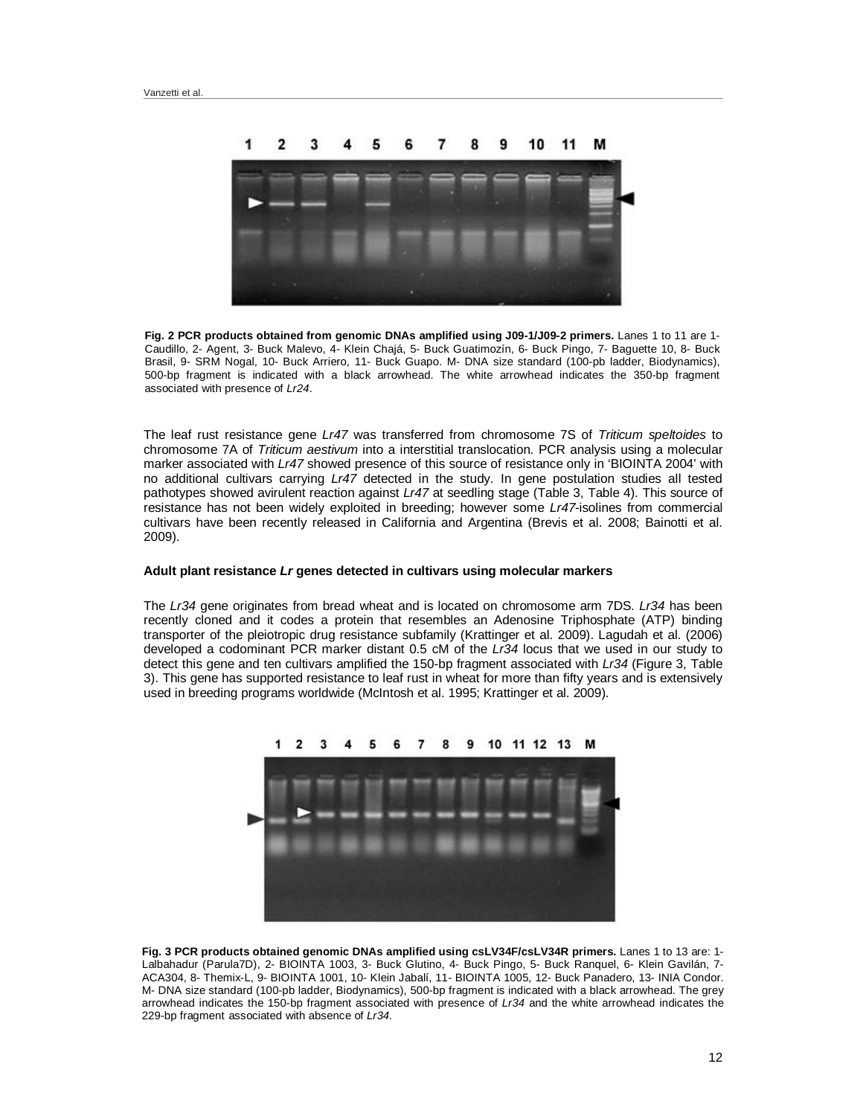

**Fig. 2 PCR products obtained from genomic DNAs amplified using J09-1/J09-2 primers.** Lanes 1 to 11 are 1- Caudillo, 2- Agent, 3- Buck Malevo, 4- Klein Chajá, 5- Buck Guatimozín, 6- Buck Pingo, 7- Baguette 10, 8- Buck Brasil, 9- SRM Nogal, 10- Buck Arriero, 11- Buck Guapo. M- DNA size standard (100-pb ladder, Biodynamics), 500-bp fragment is indicated with a black arrowhead. The white arrowhead indicates the 350-bp fragment associated with presence of *Lr24*.

The leaf rust resistance gene *Lr47* was transferred from chromosome 7S of *Triticum speltoides* to chromosome 7A of *Triticum aestivum* into a interstitial translocation. PCR analysis using a molecular marker associated with *Lr47* showed presence of this source of resistance only in 'BIOINTA 2004' with no additional cultivars carrying *Lr47* detected in the study. In gene postulation studies all tested pathotypes showed avirulent reaction against *Lr47* at seedling stage (Table 3, Table 4). This source of resistance has not been widely exploited in breeding; however some *Lr47*-isolines from commercial cultivars have been recently released in California and Argentina (Brevis et al. 2008; Bainotti et al. 2009).

# **Adult plant resistance** *Lr* **genes detected in cultivars using molecular markers**

The *Lr34* gene originates from bread wheat and is located on chromosome arm 7DS. *Lr34* has been recently cloned and it codes a protein that resembles an Adenosine Triphosphate (ATP) binding transporter of the pleiotropic drug resistance subfamily (Krattinger et al. 2009). Lagudah et al. (2006) developed a codominant PCR marker distant 0.5 cM of the *Lr34* locus that we used in our study to detect this gene and ten cultivars amplified the 150-bp fragment associated with *Lr34* (Figure 3, Table 3). This gene has supported resistance to leaf rust in wheat for more than fifty years and is extensively used in breeding programs worldwide (McIntosh et al. 1995; Krattinger et al. 2009).



**Fig. 3 PCR products obtained genomic DNAs amplified using csLV34F/csLV34R primers.** Lanes 1 to 13 are: 1- Lalbahadur (Parula7D), 2- BIOINTA 1003, 3- Buck Glutino, 4- Buck Pingo, 5- Buck Ranquel, 6- Klein Gavilán, 7- ACA304, 8- Themix-L, 9- BIOINTA 1001, 10- Klein Jabalí, 11- BIOINTA 1005, 12- Buck Panadero, 13- INIA Condor. M- DNA size standard (100-pb ladder, Biodynamics), 500-bp fragment is indicated with a black arrowhead. The grey arrowhead indicates the 150-bp fragment associated with presence of *Lr34* and the white arrowhead indicates the 229-bp fragment associated with absence of *Lr34.*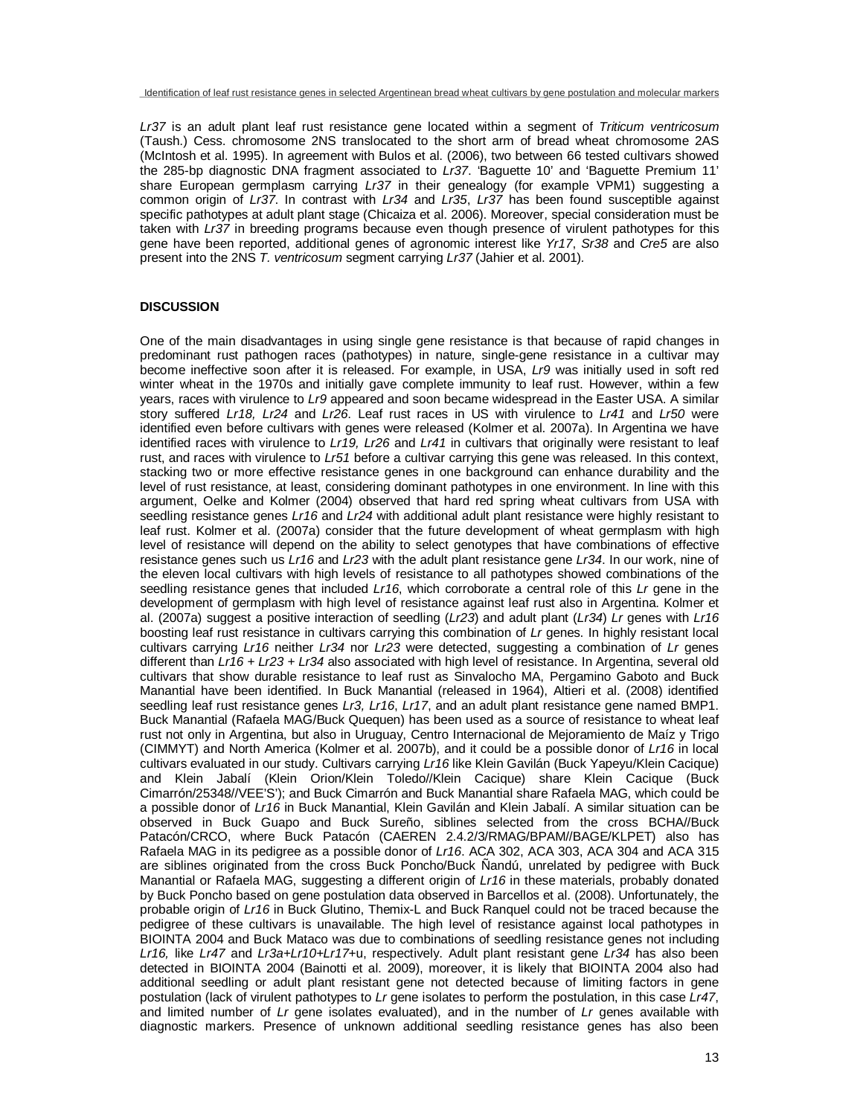*Lr37* is an adult plant leaf rust resistance gene located within a segment of *Triticum ventricosum* (Taush.) Cess. chromosome 2NS translocated to the short arm of bread wheat chromosome 2AS (McIntosh et al. 1995). In agreement with Bulos et al. (2006), two between 66 tested cultivars showed the 285-bp diagnostic DNA fragment associated to *Lr37*. 'Baguette 10' and 'Baguette Premium 11' share European germplasm carrying *Lr37* in their genealogy (for example VPM1) suggesting a common origin of *Lr37*. In contrast with *Lr34* and *Lr35*, *Lr37* has been found susceptible against specific pathotypes at adult plant stage (Chicaiza et al. 2006). Moreover, special consideration must be taken with *Lr37* in breeding programs because even though presence of virulent pathotypes for this gene have been reported, additional genes of agronomic interest like *Yr17*, *Sr38* and *Cre5* are also present into the 2NS *T. ventricosum* segment carrying *Lr37* (Jahier et al. 2001)*.*

# **DISCUSSION**

One of the main disadvantages in using single gene resistance is that because of rapid changes in predominant rust pathogen races (pathotypes) in nature, single-gene resistance in a cultivar may become ineffective soon after it is released. For example, in USA, *Lr9* was initially used in soft red winter wheat in the 1970s and initially gave complete immunity to leaf rust. However, within a few years, races with virulence to *Lr9* appeared and soon became widespread in the Easter USA. A similar story suffered *Lr18, Lr24* and *Lr26*. Leaf rust races in US with virulence to *Lr41* and *Lr50* were identified even before cultivars with genes were released (Kolmer et al. 2007a). In Argentina we have identified races with virulence to *Lr19, Lr26* and *Lr41* in cultivars that originally were resistant to leaf rust, and races with virulence to *Lr51* before a cultivar carrying this gene was released. In this context, stacking two or more effective resistance genes in one background can enhance durability and the level of rust resistance, at least, considering dominant pathotypes in one environment. In line with this argument, Oelke and Kolmer (2004) observed that hard red spring wheat cultivars from USA with seedling resistance genes *Lr16* and *Lr24* with additional adult plant resistance were highly resistant to leaf rust. Kolmer et al. (2007a) consider that the future development of wheat germplasm with high level of resistance will depend on the ability to select genotypes that have combinations of effective resistance genes such us *Lr16* and *Lr23* with the adult plant resistance gene *Lr34*. In our work, nine of the eleven local cultivars with high levels of resistance to all pathotypes showed combinations of the seedling resistance genes that included *Lr16*, which corroborate a central role of this *Lr* gene in the development of germplasm with high level of resistance against leaf rust also in Argentina. Kolmer et al. (2007a) suggest a positive interaction of seedling (*Lr23*) and adult plant (*Lr34*) *Lr* genes with *Lr16* boosting leaf rust resistance in cultivars carrying this combination of *Lr* genes. In highly resistant local cultivars carrying *Lr16* neither *Lr34* nor *Lr23* were detected, suggesting a combination of *Lr* genes different than *Lr16 + Lr23 + Lr34* also associated with high level of resistance. In Argentina, several old cultivars that show durable resistance to leaf rust as Sinvalocho MA, Pergamino Gaboto and Buck Manantial have been identified. In Buck Manantial (released in 1964), Altieri et al. (2008) identified seedling leaf rust resistance genes *Lr3, Lr16*, *Lr17*, and an adult plant resistance gene named BMP1. Buck Manantial (Rafaela MAG/Buck Quequen) has been used as a source of resistance to wheat leaf rust not only in Argentina, but also in Uruguay, Centro Internacional de Mejoramiento de Maíz y Trigo (CIMMYT) and North America (Kolmer et al. 2007b), and it could be a possible donor of *Lr16* in local cultivars evaluated in our study. Cultivars carrying *Lr16* like Klein Gavilán (Buck Yapeyu/Klein Cacique) and Klein Jabalí (Klein Orion/Klein Toledo//Klein Cacique) share Klein Cacique (Buck Cimarrón/25348//VEE'S'); and Buck Cimarrón and Buck Manantial share Rafaela MAG, which could be a possible donor of *Lr16* in Buck Manantial, Klein Gavilán and Klein Jabalí. A similar situation can be observed in Buck Guapo and Buck Sureño, siblines selected from the cross BCHA//Buck Patacón/CRCO, where Buck Patacón (CAEREN 2.4.2/3/RMAG/BPAM//BAGE/KLPET) also has Rafaela MAG in its pedigree as a possible donor of *Lr16*. ACA 302, ACA 303, ACA 304 and ACA 315 are siblines originated from the cross Buck Poncho/Buck Ñandú, unrelated by pedigree with Buck Manantial or Rafaela MAG, suggesting a different origin of *Lr16* in these materials, probably donated by Buck Poncho based on gene postulation data observed in Barcellos et al. (2008). Unfortunately, the probable origin of *Lr16* in Buck Glutino, Themix-L and Buck Ranquel could not be traced because the pedigree of these cultivars is unavailable. The high level of resistance against local pathotypes in BIOINTA 2004 and Buck Mataco was due to combinations of seedling resistance genes not including *Lr16,* like *Lr47* and *Lr3a+Lr10+Lr17*+u, respectively. Adult plant resistant gene *Lr34* has also been detected in BIOINTA 2004 (Bainotti et al. 2009), moreover, it is likely that BIOINTA 2004 also had additional seedling or adult plant resistant gene not detected because of limiting factors in gene postulation (lack of virulent pathotypes to *Lr* gene isolates to perform the postulation, in this case *Lr47*, and limited number of *Lr* gene isolates evaluated), and in the number of *Lr* genes available with diagnostic markers. Presence of unknown additional seedling resistance genes has also been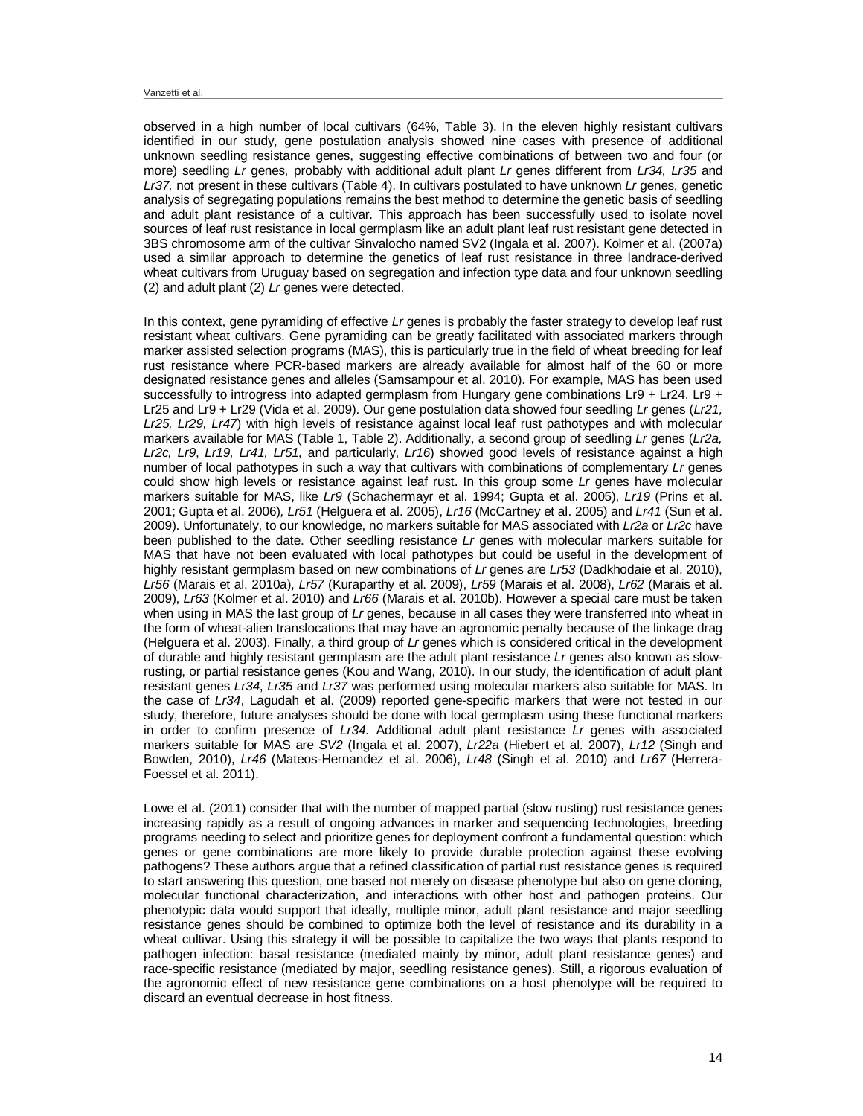observed in a high number of local cultivars (64%, Table 3). In the eleven highly resistant cultivars identified in our study, gene postulation analysis showed nine cases with presence of additional unknown seedling resistance genes, suggesting effective combinations of between two and four (or more) seedling *Lr* genes, probably with additional adult plant *Lr* genes different from *Lr34, Lr35* and *Lr37,* not present in these cultivars (Table 4). In cultivars postulated to have unknown *Lr* genes, genetic analysis of segregating populations remains the best method to determine the genetic basis of seedling and adult plant resistance of a cultivar. This approach has been successfully used to isolate novel sources of leaf rust resistance in local germplasm like an adult plant leaf rust resistant gene detected in 3BS chromosome arm of the cultivar Sinvalocho named SV2 (Ingala et al. 2007). Kolmer et al. (2007a) used a similar approach to determine the genetics of leaf rust resistance in three landrace-derived wheat cultivars from Uruguay based on segregation and infection type data and four unknown seedling (2) and adult plant (2) *Lr* genes were detected.

In this context, gene pyramiding of effective *Lr* genes is probably the faster strategy to develop leaf rust resistant wheat cultivars. Gene pyramiding can be greatly facilitated with associated markers through marker assisted selection programs (MAS), this is particularly true in the field of wheat breeding for leaf rust resistance where PCR-based markers are already available for almost half of the 60 or more designated resistance genes and alleles (Samsampour et al. 2010). For example, MAS has been used successfully to introgress into adapted germplasm from Hungary gene combinations Lr9 + Lr24, Lr9 + Lr25 and Lr9 + Lr29 (Vida et al. 2009). Our gene postulation data showed four seedling *Lr* genes (*Lr21, Lr25, Lr29, Lr47*) with high levels of resistance against local leaf rust pathotypes and with molecular markers available for MAS (Table 1, Table 2). Additionally, a second group of seedling *Lr* genes (*Lr2a, Lr2c, Lr9*, *Lr19, Lr41, Lr51,* and particularly, *Lr16*) showed good levels of resistance against a high number of local pathotypes in such a way that cultivars with combinations of complementary *Lr* genes could show high levels or resistance against leaf rust. In this group some *Lr* genes have molecular markers suitable for MAS, like *Lr9* (Schachermayr et al. 1994; Gupta et al. 2005), *Lr19* (Prins et al. 2001; Gupta et al. 2006)*, Lr51* (Helguera et al. 2005), *Lr16* (McCartney et al. 2005) and *Lr41* (Sun et al. 2009). Unfortunately, to our knowledge, no markers suitable for MAS associated with *Lr2a* or *Lr2c* have been published to the date. Other seedling resistance *Lr* genes with molecular markers suitable for MAS that have not been evaluated with local pathotypes but could be useful in the development of highly resistant germplasm based on new combinations of *Lr* genes are *Lr53* (Dadkhodaie et al. 2010), *Lr56* (Marais et al. 2010a), *Lr57* (Kuraparthy et al. 2009), *Lr59* (Marais et al. 2008), *Lr62* (Marais et al. 2009), *Lr63* (Kolmer et al. 2010) and *Lr66* (Marais et al. 2010b). However a special care must be taken when using in MAS the last group of *Lr* genes, because in all cases they were transferred into wheat in the form of wheat-alien translocations that may have an agronomic penalty because of the linkage drag (Helguera et al. 2003). Finally, a third group of *Lr* genes which is considered critical in the development of durable and highly resistant germplasm are the adult plant resistance *Lr* genes also known as slowrusting, or partial resistance genes (Kou and Wang, 2010). In our study, the identification of adult plant resistant genes *Lr34*, *Lr35* and *Lr37* was performed using molecular markers also suitable for MAS. In the case of *Lr34*, Lagudah et al. (2009) reported gene-specific markers that were not tested in our study, therefore, future analyses should be done with local germplasm using these functional markers in order to confirm presence of *Lr34*. Additional adult plant resistance *Lr* genes with associated markers suitable for MAS are *SV2* (Ingala et al. 2007), *Lr22a* (Hiebert et al. 2007), *Lr12* (Singh and Bowden, 2010), *Lr46* (Mateos-Hernandez et al. 2006), *Lr48* (Singh et al. 2010) and *Lr67* (Herrera-Foessel et al. 2011).

Lowe et al. (2011) consider that with the number of mapped partial (slow rusting) rust resistance genes increasing rapidly as a result of ongoing advances in marker and sequencing technologies, breeding programs needing to select and prioritize genes for deployment confront a fundamental question: which genes or gene combinations are more likely to provide durable protection against these evolving pathogens? These authors argue that a refined classification of partial rust resistance genes is required to start answering this question, one based not merely on disease phenotype but also on gene cloning, molecular functional characterization, and interactions with other host and pathogen proteins. Our phenotypic data would support that ideally, multiple minor, adult plant resistance and major seedling resistance genes should be combined to optimize both the level of resistance and its durability in a wheat cultivar. Using this strategy it will be possible to capitalize the two ways that plants respond to pathogen infection: basal resistance (mediated mainly by minor, adult plant resistance genes) and race-specific resistance (mediated by major, seedling resistance genes). Still, a rigorous evaluation of the agronomic effect of new resistance gene combinations on a host phenotype will be required to discard an eventual decrease in host fitness.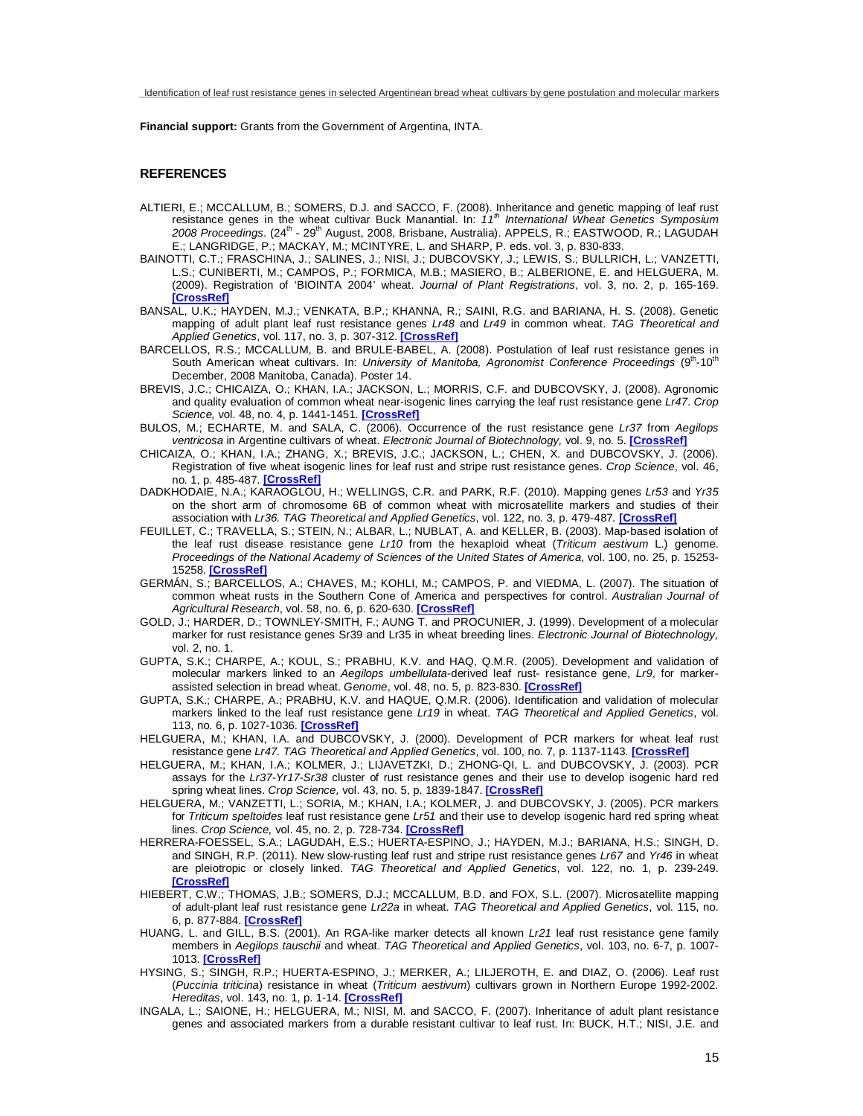**Financial support:** Grants from the Government of Argentina, INTA.

# **REFERENCES**

- ALTIERI, E.; MCCALLUM, B.; SOMERS, D.J. and SACCO, F. (2008). Inheritance and genetic mapping of leaf rust resistance genes in the wheat cultivar Buck Manantial. In: *11th International Wheat Genetics Symposium*  2008 Proceedings. (24<sup>th</sup> - 29<sup>th</sup> August, 2008, Brisbane, Australia). APPELS, R.; EASTWOOD, R.; LAGUDAH E.; LANGRIDGE, P.; MACKAY, M.; MCINTYRE, L. and SHARP, P. eds. vol. 3, p. 830-833.
- BAINOTTI, C.T.; FRASCHINA, J.; SALINES, J.; NISI, J.; DUBCOVSKY, J.; LEWIS, S.; BULLRICH, L.; VANZETTI, L.S.; CUNIBERTI, M.; CAMPOS, P.; FORMICA, M.B.; MASIERO, B.; ALBERIONE, E. and HELGUERA, M. (2009). Registration of 'BIOINTA 2004' wheat. *Journal of Plant Registrations*, vol. 3, no. 2, p. 165-169. **[\[CrossRef\]](http://dx.doi.org/10.3198/jpr2008.12.0713crc)**
- BANSAL, U.K.; HAYDEN, M.J.; VENKATA, B.P.; KHANNA, R.; SAINI, R.G. and BARIANA, H. S. (2008). Genetic mapping of adult plant leaf rust resistance genes *Lr48* and *Lr49* in common wheat. *TAG Theoretical and Applied Genetics*, vol. 117, no. 3, p. 307-312. **[\[CrossRef\]](http://dx.doi.org/10.1007/s00122-008-0775-6)**
- BARCELLOS, R.S.; MCCALLUM, B. and BRULE-BABEL, A. (2008). Postulation of leaf rust resistance genes in South American wheat cultivars. In: University of Manitoba, Agronomist Conference Proceedings (9<sup>th</sup>-10<sup>th</sup> December, 2008 Manitoba, Canada). Poster 14.
- BREVIS, J.C.; CHICAIZA, O.; KHAN, I.A.; JACKSON, L.; MORRIS, C.F. and DUBCOVSKY, J. (2008). Agronomic and quality evaluation of common wheat near-isogenic lines carrying the leaf rust resistance gene *Lr47*. *Crop Science,* vol. 48, no. 4, p. 1441-1451. **[\[CrossRef\]](http://dx.doi.org/10.2135/cropsci2007.09.0537)**
- BULOS, M.; ECHARTE, M. and SALA, C. (2006). Occurrence of the rust resistance gene *Lr37* from *Aegilops ventricosa* in Argentine cultivars of wheat. *Electronic Journal of Biotechnology,* vol. 9, no. 5. **[\[CrossRef\]](http://dx.doi.org/10.2225/vol9-issue5-fulltext-14)**
- CHICAIZA, O.; KHAN, I.A.; ZHANG, X.; BREVIS, J.C.; JACKSON, L.; CHEN, X. and DUBCOVSKY, J. (2006). Registration of five wheat isogenic lines for leaf rust and stripe rust resistance genes. *Crop Science*, vol. 46, no. 1, p. 485-487. **[\[CrossRef\]](http://dx.doi.org/10.2135/cropsci2005.04-0048)**
- DADKHODAIE, N.A.; KARAOGLOU, H.; WELLINGS, C.R. and PARK, R.F. (2010). Mapping genes *Lr53* and *Yr35* on the short arm of chromosome 6B of common wheat with microsatellite markers and studies of their association with *Lr36. TAG Theoretical and Applied Genetics*, vol. 122, no. 3, p. 479-487*.* **[\[CrossRef\]](http://dx.doi.org/10.1007/s00122-010-1462-y)**
- FEUILLET, C.; TRAVELLA, S.; STEIN, N.; ALBAR, L.; NUBLAT, A. and KELLER, B. (2003). Map-based isolation of the leaf rust disease resistance gene *Lr10* from the hexaploid wheat (*Triticum aestivum* L.) genome. *Proceedings of the National Academy of Sciences of the United States of America*, vol. 100, no. 25, p. 15253- 15258. **[\[CrossRef\]](http://dx.doi.org/10.1073/pnas.2435133100)**
- GERMÁN, S.; BARCELLOS, A.; CHAVES, M.; KOHLI, M.; CAMPOS, P. and VIEDMA, L. (2007). The situation of common wheat rusts in the Southern Cone of America and perspectives for control. *Australian Journal of Agricultural Research*, vol. 58, no. 6, p. 620-630. **[\[CrossRef\]](http://dx.doi.org/10.1071/AR06149)**
- GOLD, J.; HARDER, D.; TOWNLEY-SMITH, F.; AUNG T. and PROCUNIER, J. (1999). Development of a molecular marker for rust resistance genes Sr39 and Lr35 in wheat breeding lines. *Electronic Journal of Biotechnology,*  vol. 2, no. 1.
- GUPTA, S.K.; CHARPE, A.; KOUL, S.; PRABHU, K.V. and HAQ, Q.M.R. (2005). Development and validation of molecular markers linked to an *Aegilops umbellulata-*derived leaf rust- resistance gene, *Lr9*, for markerassisted selection in bread wheat. *Genome*, vol. 48, no. 5, p. 823-830. **[\[CrossRef\]](http://dx.doi.org/10.1139/g05-051)**
- GUPTA, S.K.; CHARPE, A.; PRABHU, K.V. and HAQUE, Q.M.R. (2006). Identification and validation of molecular markers linked to the leaf rust resistance gene *Lr19* in wheat. *TAG Theoretical and Applied Genetics*, vol. 113, no. 6, p. 1027-1036. **[\[CrossRef\]](http://dx.doi.org/10.2225/vol2-issue1-fulltext-1)**
- HELGUERA, M.; KHAN, I.A. and DUBCOVSKY, J. (2000). Development of PCR markers for wheat leaf rust resistance gene *Lr47. TAG Theoretical and Applied Genetics*, vol. 100, no. 7, p. 1137-1143. **[\[CrossRef\]](http://dx.doi.org/10.1007/s001220051397)**
- HELGUERA, M.; KHAN, I.A.; KOLMER, J.; LIJAVETZKI, D.; ZHONG-QI, L. and DUBCOVSKY, J. (2003). PCR assays for the *Lr37-Yr17-Sr38* cluster of rust resistance genes and their use to develop isogenic hard red spring wheat lines. *Crop Science,* vol. 43, no. 5, p. 1839-1847. **[\[CrossRef\]](http://dx.doi.org/10.2135/cropsci2003.1839)**
- HELGUERA, M.; VANZETTI, L.; SORIA, M.; KHAN, I.A.; KOLMER, J. and DUBCOVSKY, J. (2005). PCR markers for *Triticum speltoides* leaf rust resistance gene *Lr51* and their use to develop isogenic hard red spring wheat lines. *Crop Science,* vol. 45, no. 2, p. 728-734. **[\[CrossRef\]](http://dx.doi.org/10.2135/cropsci2005.0728)**
- HERRERA-FOESSEL, S.A.; LAGUDAH, E.S.; HUERTA-ESPINO, J.; HAYDEN, M.J.; BARIANA, H.S.; SINGH, D. and SINGH, R.P. (2011). New slow-rusting leaf rust and stripe rust resistance genes *Lr67* and *Yr46* in wheat are pleiotropic or closely linked. *TAG Theoretical and Applied Genetics*, vol. 122, no. 1, p. 239-249. **[\[CrossRef\]](http://dx.doi.org/10.1007/s00122-010-1439-x)**
- HIEBERT, C.W.; THOMAS, J.B.; SOMERS, D.J.; MCCALLUM, B.D. and FOX, S.L. (2007). Microsatellite mapping of adult-plant leaf rust resistance gene *Lr22a* in wheat. *TAG Theoretical and Applied Genetics*, vol. 115, no. 6, p. 877-884. **[\[CrossRef\]](http://dx.doi.org/10.1007/s00122-007-0604-3)**
- HUANG, L. and GILL, B.S. (2001). An RGA-like marker detects all known *Lr21* leaf rust resistance gene family members in *Aegilops tauschii* and wheat. *TAG Theoretical and Applied Genetics*, vol. 103, no. 6-7, p. 1007- 1013. **[\[CrossRef\]](http://dx.doi.org/10.1007/s001220100701)**
- HYSING, S.; SINGH, R.P.; HUERTA-ESPINO, J.; MERKER, A.; LILJEROTH, E. and DIAZ, O. (2006). Leaf rust (*Puccinia triticina*) resistance in wheat (*Triticum aestivum*) cultivars grown in Northern Europe 1992-2002. *Hereditas*, vol. 143, no. 1, p. 1-14. **[\[CrossRef\]](http://dx.doi.org/10.1111/j.2005.0018-0661.01917.x)**
- INGALA, L.; SAIONE, H.; HELGUERA, M.; NISI, M. and SACCO, F. (2007). Inheritance of adult plant resistance genes and associated markers from a durable resistant cultivar to leaf rust. In: BUCK, H.T.; NISI, J.E. and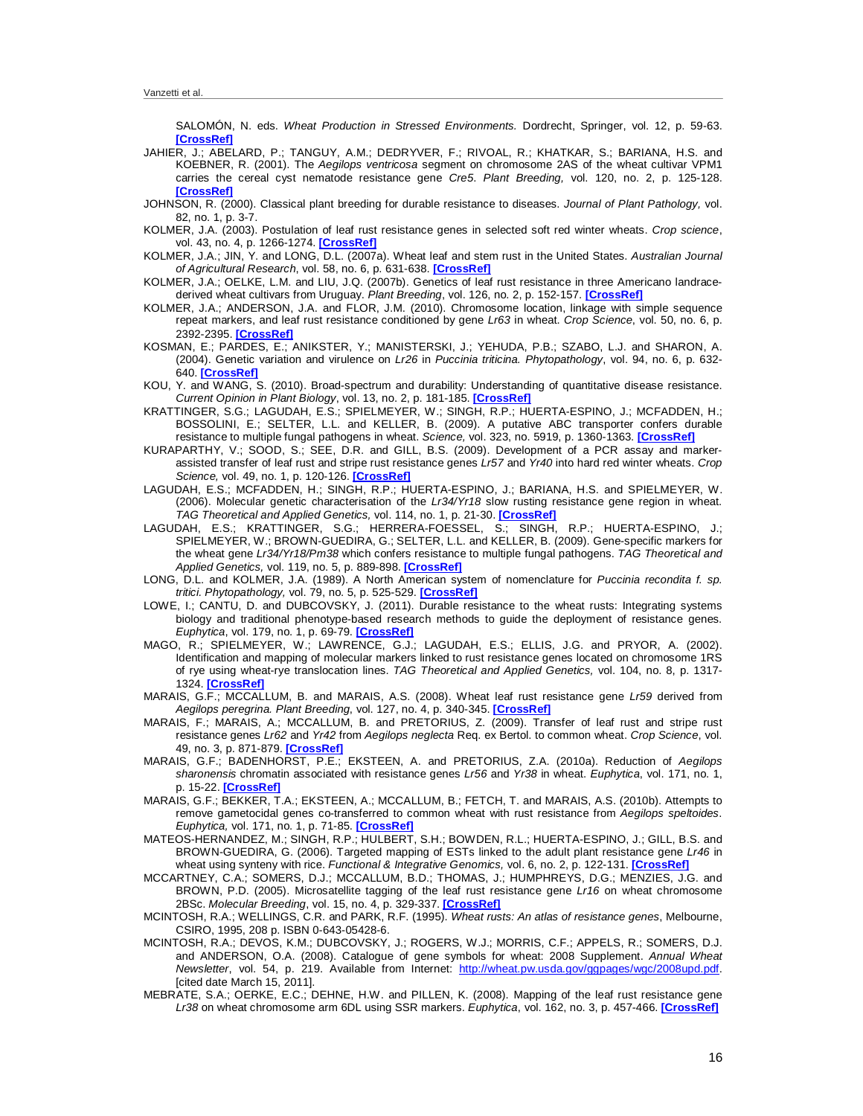SALOMÓN, N. eds. *Wheat Production in Stressed Environments.* Dordrecht, Springer, vol. 12, p. 59-63. **[\[CrossRef\]](http://dx.doi.org/10.1007/1-4020-5497-1_6)**

- JAHIER, J.; ABELARD, P.; TANGUY, A.M.; DEDRYVER, F.; RIVOAL, R.; KHATKAR, S.; BARIANA, H.S. and KOEBNER, R. (2001). The *Aegilops ventricosa* segment on chromosome 2AS of the wheat cultivar VPM1 carries the cereal cyst nematode resistance gene *Cre5*. *Plant Breeding,* vol. 120, no. 2, p. 125-128. **[\[CrossRef\]](http://dx.doi.org/10.1046/j.1439-0523.2001.00585.x)**
- JOHNSON, R. (2000). Classical plant breeding for durable resistance to diseases. *Journal of Plant Pathology,* vol. 82, no. 1, p. 3-7.
- KOLMER, J.A. (2003). Postulation of leaf rust resistance genes in selected soft red winter wheats. *Crop science*, vol. 43, no. 4, p. 1266-1274. **[\[CrossRef\]](http://dx.doi.org/10.2135/cropsci2003.1266)**
- KOLMER, J.A.; JIN, Y. and LONG, D.L. (2007a). Wheat leaf and stem rust in the United States. *Australian Journal of Agricultural Research*, vol. 58, no. 6, p. 631-638. **[\[CrossRef\]](http://dx.doi.org/10.1071/AR07057)**
- KOLMER, J.A.; OELKE, L.M. and LIU, J.Q. (2007b). Genetics of leaf rust resistance in three Americano landracederived wheat cultivars from Uruguay. *Plant Breeding*, vol. 126, no. 2, p. 152-157. **[\[CrossRef\]](http://dx.doi.org/10.1111/j.1439-0523.2007.01283.x)**
- KOLMER, J.A.; ANDERSON, J.A. and FLOR, J.M. (2010). Chromosome location, linkage with simple sequence repeat markers, and leaf rust resistance conditioned by gene *Lr63* in wheat. *Crop Science*, vol. 50, no. 6, p. 2392-2395. **[\[CrossRef\]](http://dx.doi.org/10.2135/cropsci2010.01.0005)**
- KOSMAN, E.; PARDES, E.; ANIKSTER, Y.; MANISTERSKI, J.; YEHUDA, P.B.; SZABO, L.J. and SHARON, A. (2004). Genetic variation and virulence on *Lr26* in *Puccinia triticina. Phytopathology*, vol. 94, no. 6, p. 632- 640. **[\[CrossRef\]](http://dx.doi.org/10.1094/PHYTO.2004.94.6.632)**
- KOU, Y. and WANG, S. (2010). Broad-spectrum and durability: Understanding of quantitative disease resistance. *Current Opinion in Plant Biology*, vol. 13, no. 2, p. 181-185. **[\[CrossRef\]](http://dx.doi.org/10.1016/j.pbi.2009.12.010)**
- KRATTINGER, S.G.; LAGUDAH, E.S.; SPIELMEYER, W.; SINGH, R.P.; HUERTA-ESPINO, J.; MCFADDEN, H.; BOSSOLINI, E.; SELTER, L.L. and KELLER, B. (2009). A putative ABC transporter confers durable resistance to multiple fungal pathogens in wheat. *Science,* vol. 323, no. 5919, p. 1360-1363. **[\[CrossRef\]](http://dx.doi.org/10.1126/science.1166453)**
- KURAPARTHY, V.; SOOD, S.; SEE, D.R. and GILL, B.S. (2009). Development of a PCR assay and markerassisted transfer of leaf rust and stripe rust resistance genes *Lr57* and *Yr40* into hard red winter wheats. *Crop Science,* vol. 49, no. 1, p. 120-126. **[\[CrossRef\]](http://dx.doi.org/10.2135/cropsci2008.03.0143)**
- LAGUDAH, E.S.; MCFADDEN, H.; SINGH, R.P.; HUERTA-ESPINO, J.; BARIANA, H.S. and SPIELMEYER, W. (2006). Molecular genetic characterisation of the *Lr34/Yr18* slow rusting resistance gene region in wheat. *TAG Theoretical and Applied Genetics,* vol. 114, no. 1, p. 21-30. **[\[CrossRef\]](http://dx.doi.org/10.1007/s00122-006-0406-z)**
- LAGUDAH, E.S.; KRATTINGER, S.G.; HERRERA-FOESSEL, S.; SINGH, R.P.; HUERTA-ESPINO, J.; SPIELMEYER, W.; BROWN-GUEDIRA, G.; SELTER, L.L. and KELLER, B. (2009). Gene-specific markers for the wheat gene *Lr34/Yr18/Pm38* which confers resistance to multiple fungal pathogens. *TAG Theoretical and Applied Genetics,* vol. 119, no. 5, p. 889-898. **[\[CrossRef\]](http://dx.doi.org/10.1007/s00122-009-1097-z)**
- LONG, D.L. and KOLMER, J.A. (1989). A North American system of nomenclature for *Puccinia recondita f. sp. tritici. Phytopathology,* vol. 79, no. 5, p. 525-529. **[\[CrossRef\]](http://dx.doi.org/10.1094/Phyto-79-525)**
- LOWE, I.; CANTU, D. and DUBCOVSKY, J. (2011). Durable resistance to the wheat rusts: Integrating systems biology and traditional phenotype-based research methods to guide the deployment of resistance genes. *Euphytica*, vol. 179, no. 1, p. 69-79. **[\[CrossRef\]](http://dx.doi.org/10.1007/s10681-010-0311-z)**
- MAGO, R.; SPIELMEYER, W.; LAWRENCE, G.J.; LAGUDAH, E.S.; ELLIS, J.G. and PRYOR, A. (2002). Identification and mapping of molecular markers linked to rust resistance genes located on chromosome 1RS of rye using wheat-rye translocation lines. *TAG Theoretical and Applied Genetics,* vol. 104, no. 8, p. 1317- 1324. **[\[CrossRef\]](http://dx.doi.org/10.1007/s00122-002-0879-3)**
- MARAIS, G.F.; MCCALLUM, B. and MARAIS, A.S. (2008). Wheat leaf rust resistance gene *Lr59* derived from *Aegilops peregrina. Plant Breeding*, vol. 127, no. 4, p. 340-345. **[\[CrossRef\]](http://dx.doi.org/10.1111/j.1439-0523.2008.01513.x)**
- MARAIS, F.; MARAIS, A.; MCCALLUM, B. and PRETORIUS, Z. (2009). Transfer of leaf rust and stripe rust resistance genes *Lr62* and *Yr42* from *Aegilops neglecta* Req. ex Bertol. to common wheat. *Crop Science*, vol. 49, no. 3, p. 871-879. **[\[CrossRef\]](http://dx.doi.org/10.2135/cropsci2008.06.0317)**
- MARAIS, G.F.; BADENHORST, P.E.; EKSTEEN, A. and PRETORIUS, Z.A. (2010a). Reduction of *Aegilops sharonensis* chromatin associated with resistance genes *Lr56* and *Yr38* in wheat. *Euphytica*, vol. 171, no. 1, p. 15-22. **[\[CrossRef\]](http://dx.doi.org/10.1007/s10681-009-9973-9)**
- MARAIS, G.F.; BEKKER, T.A.; EKSTEEN, A.; MCCALLUM, B.; FETCH, T. and MARAIS, A.S. (2010b). Attempts to remove gametocidal genes co-transferred to common wheat with rust resistance from *Aegilops speltoides*. *Euphytica,* vol. 171, no. 1, p. 71-85. **[\[CrossRef\]](http://dx.doi.org/10.1007/s10681-009-9996-2)**
- MATEOS-HERNANDEZ, M.; SINGH, R.P.; HULBERT, S.H.; BOWDEN, R.L.; HUERTA-ESPINO, J.; GILL, B.S. and BROWN-GUEDIRA, G. (2006). Targeted mapping of ESTs linked to the adult plant resistance gene *Lr46* in wheat using synteny with rice. *Functional & Integrative Genomics,* vol. 6, no. 2, p. 122-131. **[\[CrossRef\]](http://dx.doi.org/10.1007/s10142-005-0017-9)**
- MCCARTNEY, C.A.; SOMERS, D.J.; MCCALLUM, B.D.; THOMAS, J.; HUMPHREYS, D.G.; MENZIES, J.G. and BROWN, P.D. (2005). Microsatellite tagging of the leaf rust resistance gene *Lr16* on wheat chromosome 2BSc. *Molecular Breeding*, vol. 15, no. 4, p. 329-337. **[\[CrossRef\]](http://dx.doi.org/10.1007/s11032-004-5948-7)**
- MCINTOSH, R.A.; WELLINGS, C.R. and PARK, R.F. (1995). *Wheat rusts: An atlas of resistance genes*, Melbourne, CSIRO, 1995, 208 p. ISBN 0-643-05428-6.
- MCINTOSH, R.A.; DEVOS, K.M.; DUBCOVSKY, J.; ROGERS, W.J.; MORRIS, C.F.; APPELS, R.; SOMERS, D.J. and ANDERSON, O.A. (2008). Catalogue of gene symbols for wheat: 2008 Supplement. *Annual Wheat Newsletter*, vol. 54, p. 219. Available from Internet: [http://wheat.pw.usda.gov/ggpages/wgc/2008upd.pdf.](http://wheat.pw.usda.gov/ggpages/wgc/2008upd.pdf)  [cited date March 15, 2011].
- MEBRATE, S.A.; OERKE, E.C.; DEHNE, H.W. and PILLEN, K. (2008). Mapping of the leaf rust resistance gene *Lr38* on wheat chromosome arm 6DL using SSR markers. *Euphytica*, vol. 162, no. 3, p. 457-466. **[\[CrossRef\]](http://dx.doi.org/10.1007/s10681-007-9615-z)**